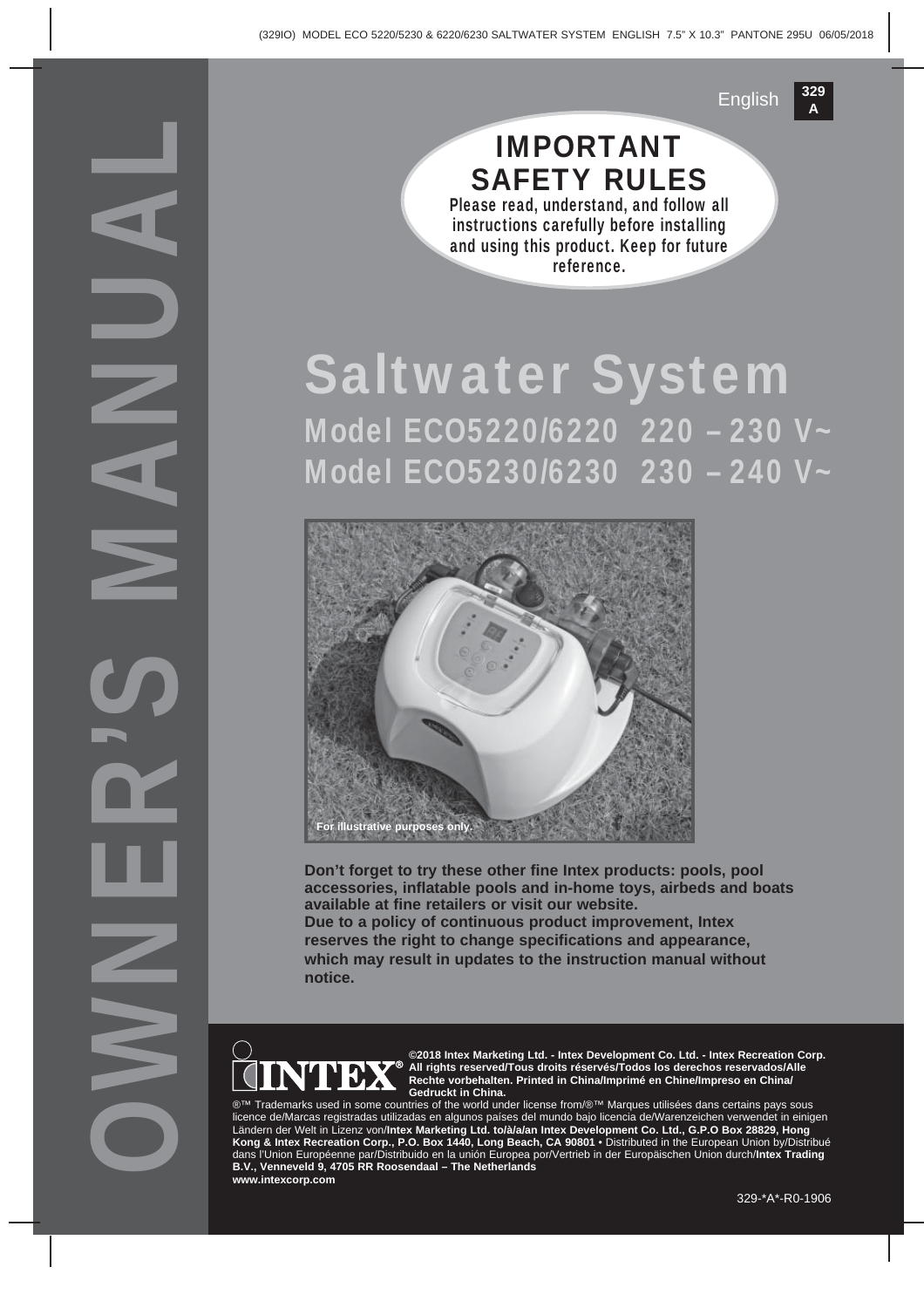OWNER'S MANUAL

### IMPORTANT SAFETY RULES Please read, understand, and follow all

**329**

**<sup>A</sup>** English

instructions carefully before installing and using this product. Keep for future reference.

# Saltwater System Model ECO5220/6220 220 – 230 V~ Model ECO5230/6230 230 – 240 V~



**Don't forget to try these other fine Intex products: pools, pool accessories, inflatable pools and in-home toys, airbeds and boats available at fine retailers or visit our website. Due to a policy of continuous product improvement, Intex reserves the right to change specifications and appearance, which may result in updates to the instruction manual without notice.**



**©2018 Intex Marketing Ltd. - Intex Development Co. Ltd. - Intex Recreation Corp. All rights reserved/Tous droits réservés/Todos los derechos reservados/Alle Rechte vorbehalten. Printed in China/Imprimé en Chine/Impreso en China/ Gedruckt in China.**

marks used in some countries of the world under license from/®™ Marques utilisées dans certains pays sous licence de/Marcas registradas utilizadas en algunos países del mundo bajo licencia de/Warenzeichen verwendet in einigen<br>Ländern der Welt in Lizenz von/**Intex Marketing Ltd. to/à/a/an Intex Development Co. Ltd., G.P.O Box Kong & Intex Recreation Corp., P.O. Box 1440, Long Beach, CA 90801** • Distributed in the European Union by/Distribué dans l'Union Européenne par/Distribuido en la unión Europea por/Vertrieb in der Europäischen Union durch/**Intex Trading B.V., Venneveld 9, 4705 RR Roosendaal – The Netherlands www.intexcorp.com**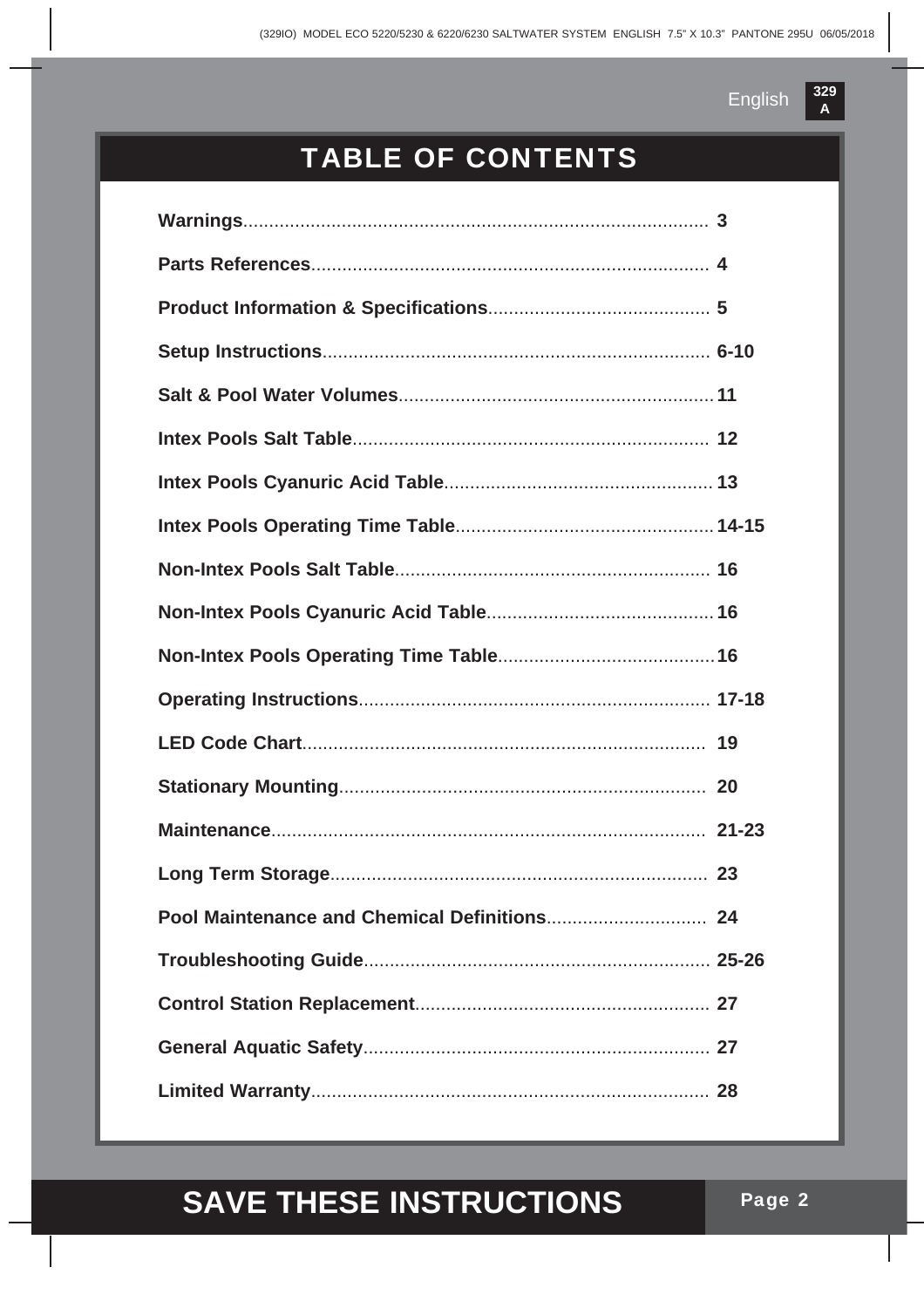## TABLE OF CONTENTS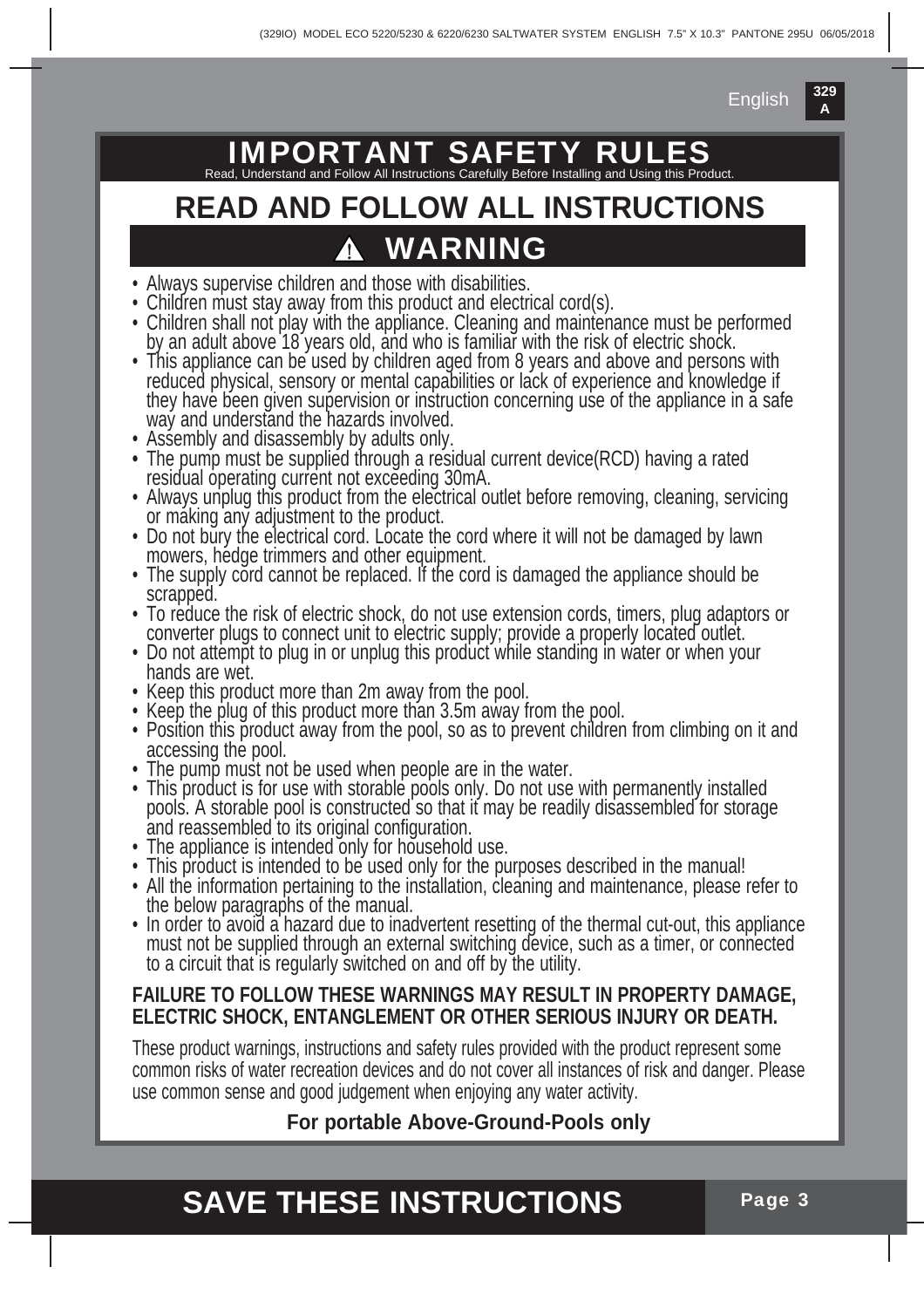## **IMPORTANT SAFET**

Read, Understand and Follow All Instructions Carefully Before Installing and Using this Product.

### **WARNING READ AND FOLLOW ALL INSTRUCTIONS**

- Always supervise children and those with disabilities.
- Children must stay away from this product and electrical cord(s).
- Children shall not play with the appliance. Cleaning and maintenance must be performed by an adult above 18 years old, and who is familiar with the risk of electric shock.
- This appliance can be used by children aged from 8 years and above and persons with reduced physical, sensory or mental capabilities or lack of experience and knowledge if they have been given supervision or instruction concerning use of the appliance in a safe way and understand the hazards involved.
- Assembly and disassembly by adults only.
- **•** The pump must be supplied through a residual current device(RCD) having a rated residual operating current not exceeding 30mA.
- Always unplug this product from the electrical outlet before removing, cleaning, servicing or making any adjustment to the product.
- Do not bury the electrical cord. Locate the cord where it will not be damaged by lawn mowers, hedge trimmers and other equipment.
- The supply cord cannot be replaced. If the cord is damaged the appliance should be scrapped.
- To reduce the risk of electric shock, do not use extension cords, timers, plug adaptors or converter plugs to connect unit to electric supply; provide a properly located outlet.
- Do not attempt to plug in or unplug this product while standing in water or when your hands are wet.
- Keep this product more than 2m away from the pool.
- Keep the plug of this product more than 3.5m away from the pool.
- Position this product away from the pool, so as to prevent children from climbing on it and accessing the pool.
- The pump must not be used when people are in the water.
- This product is for use with storable pools only. Do not use with permanently installed pools. A storable pool is constructed so that it may be readily disassembled for storage and reassembled to its original configuration.
- The appliance is intended only for household use.
- This product is intended to be used only for the purposes described in the manual!
- All the information pertaining to the installation, cleaning and maintenance, please refer to the below paragraphs of the manual.
- In order to avoid a hazard due to inadvertent resetting of the thermal cut-out, this appliance must not be supplied through an external switching device, such as a timer, or connected to a circuit that is regularly switched on and off by the utility.

#### **FAILURE TO FOLLOW THESE WARNINGS MAY RESULT IN PROPERTY DAMAGE, ELECTRIC SHOCK, ENTANGLEMENT OR OTHER SERIOUS INJURY OR DEATH.**

These product warnings, instructions and safety rules provided with the product represent some common risks of water recreation devices and do not cover all instances of risk and danger. Please use common sense and good judgement when enjoying any water activity.

#### **For portable Above-Ground-Pools only**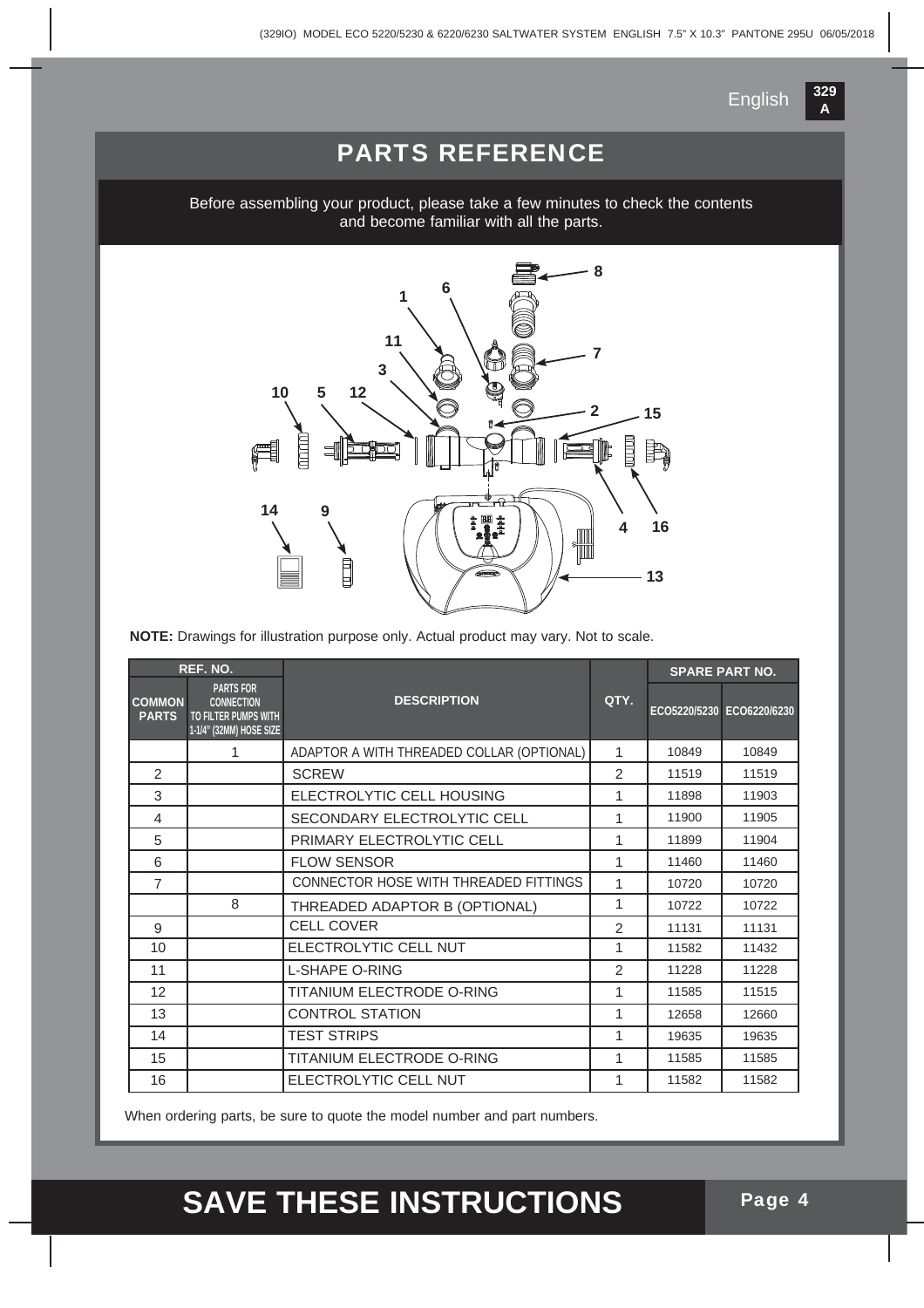

#### PARTS REFERENCE

Before assembling your product, please take a few minutes to check the contents and become familiar with all the parts.



**NOTE:** Drawings for illustration purpose only. Actual product may vary. Not to scale.

|                               | REF. NO.                                                                                 |                                           |                | <b>SPARE PART NO.</b> |                           |  |
|-------------------------------|------------------------------------------------------------------------------------------|-------------------------------------------|----------------|-----------------------|---------------------------|--|
| <b>COMMON</b><br><b>PARTS</b> | <b>PARTS FOR</b><br><b>CONNECTION</b><br>TO FILTER PUMPS WITH<br>1-1/4" (32MM) HOSE SIZE | <b>DESCRIPTION</b>                        | QTY.           |                       | ECO5220/5230 ECO6220/6230 |  |
|                               | 1                                                                                        | ADAPTOR A WITH THREADED COLLAR (OPTIONAL) | 1              | 10849                 | 10849                     |  |
| 2                             |                                                                                          | <b>SCREW</b>                              | 2              | 11519                 | 11519                     |  |
| 3                             |                                                                                          | ELECTROLYTIC CELL HOUSING                 | 1              | 11898                 | 11903                     |  |
| 4                             |                                                                                          | SECONDARY ELECTROLYTIC CELL               | 1              | 11900                 | 11905                     |  |
| 5                             |                                                                                          | PRIMARY ELECTROLYTIC CELL                 | 1              | 11899                 | 11904                     |  |
| 6                             |                                                                                          | <b>FLOW SENSOR</b>                        | 1              | 11460                 | 11460                     |  |
| 7                             |                                                                                          | CONNECTOR HOSE WITH THREADED FITTINGS     | 1              | 10720                 | 10720                     |  |
|                               | 8                                                                                        | THREADED ADAPTOR B (OPTIONAL)             | 1              | 10722                 | 10722                     |  |
| 9                             |                                                                                          | <b>CELL COVER</b>                         | $\overline{2}$ | 11131                 | 11131                     |  |
| 10                            |                                                                                          | ELECTROLYTIC CELL NUT                     | 1              | 11582                 | 11432                     |  |
| 11                            |                                                                                          | <b>L-SHAPE O-RING</b>                     | $\mathcal{P}$  | 11228                 | 11228                     |  |
| 12                            |                                                                                          | <b>TITANIUM ELECTRODE O-RING</b>          | 1              | 11585                 | 11515                     |  |
| 13                            |                                                                                          | <b>CONTROL STATION</b>                    | 1              | 12658                 | 12660                     |  |
| 14                            |                                                                                          | <b>TEST STRIPS</b>                        | 1              | 19635                 | 19635                     |  |
| 15                            |                                                                                          | TITANIUM ELECTRODE O-RING                 | 1              | 11585                 | 11585                     |  |
| 16                            |                                                                                          | ELECTROLYTIC CELL NUT                     | 1              | 11582                 | 11582                     |  |

When ordering parts, be sure to quote the model number and part numbers.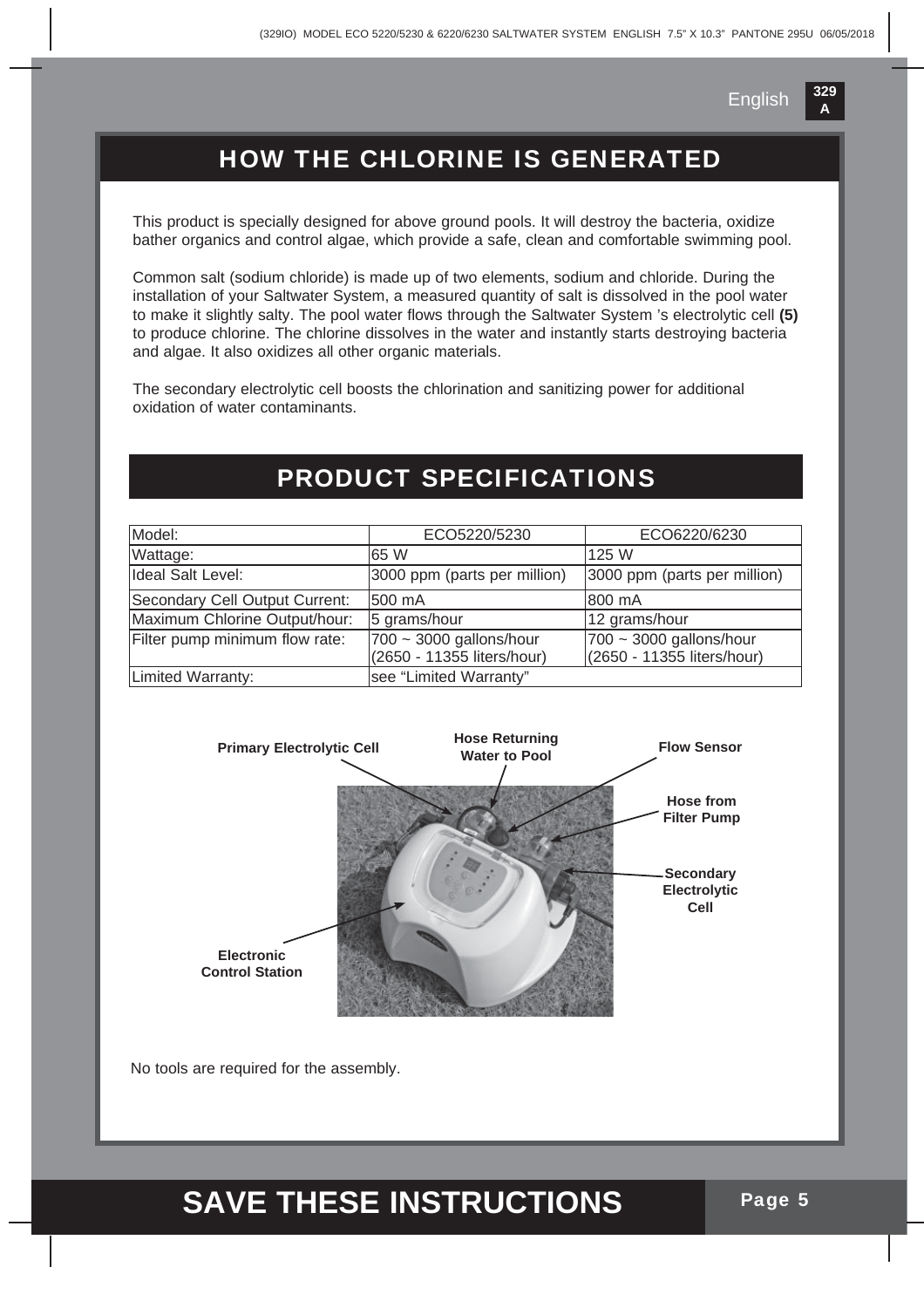### HOW THE CHLORINE IS GENERATED

This product is specially designed for above ground pools. It will destroy the bacteria, oxidize bather organics and control algae, which provide a safe, clean and comfortable swimming pool.

Common salt (sodium chloride) is made up of two elements, sodium and chloride. During the installation of your Saltwater System, a measured quantity of salt is dissolved in the pool water to make it slightly salty. The pool water flows through the Saltwater System 's electrolytic cell **(5)**  to produce chlorine. The chlorine dissolves in the water and instantly starts destroying bacteria and algae. It also oxidizes all other organic materials.

The secondary electrolytic cell boosts the chlorination and sanitizing power for additional oxidation of water contaminants.

#### PRODUCT SPECIFICATIONS

| Model:                         | ECO5220/5230                                          | ECO6220/6230                                                |
|--------------------------------|-------------------------------------------------------|-------------------------------------------------------------|
| Wattage:                       | 165 W                                                 | l125 W                                                      |
| Ideal Salt Level:              | 3000 ppm (parts per million)                          | 3000 ppm (parts per million)                                |
| Secondary Cell Output Current: | 500 mA                                                | 800 mA                                                      |
| Maximum Chlorine Output/hour:  | 5 grams/hour                                          | 12 grams/hour                                               |
| Filter pump minimum flow rate: | 700 ~ 3000 gallons/hour<br>(2650 - 11355 liters/hour) | $ 700 \sim 3000$ gallons/hour<br>(2650 - 11355 liters/hour) |
| Limited Warranty:              | see "Limited Warranty"                                |                                                             |



No tools are required for the assembly.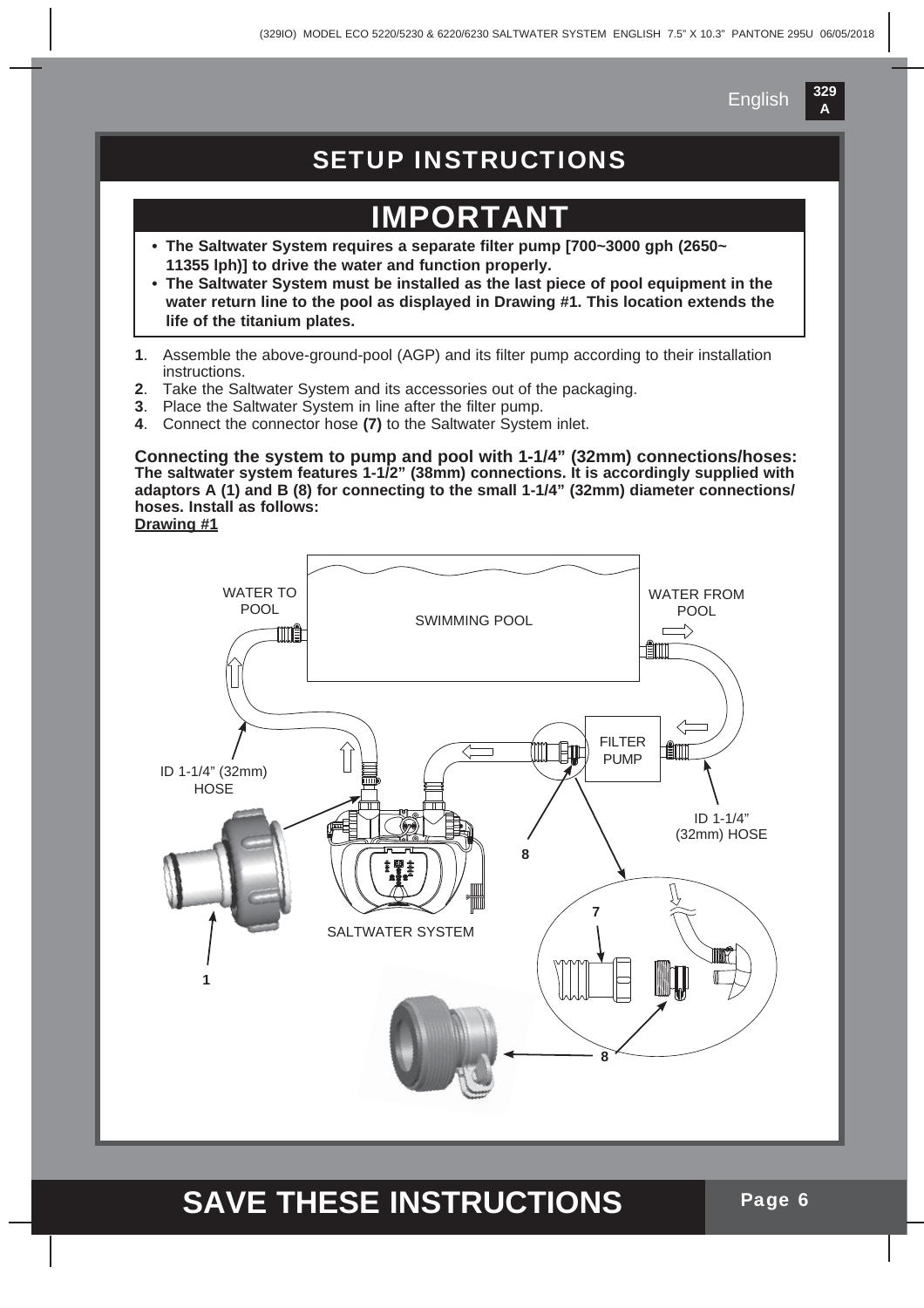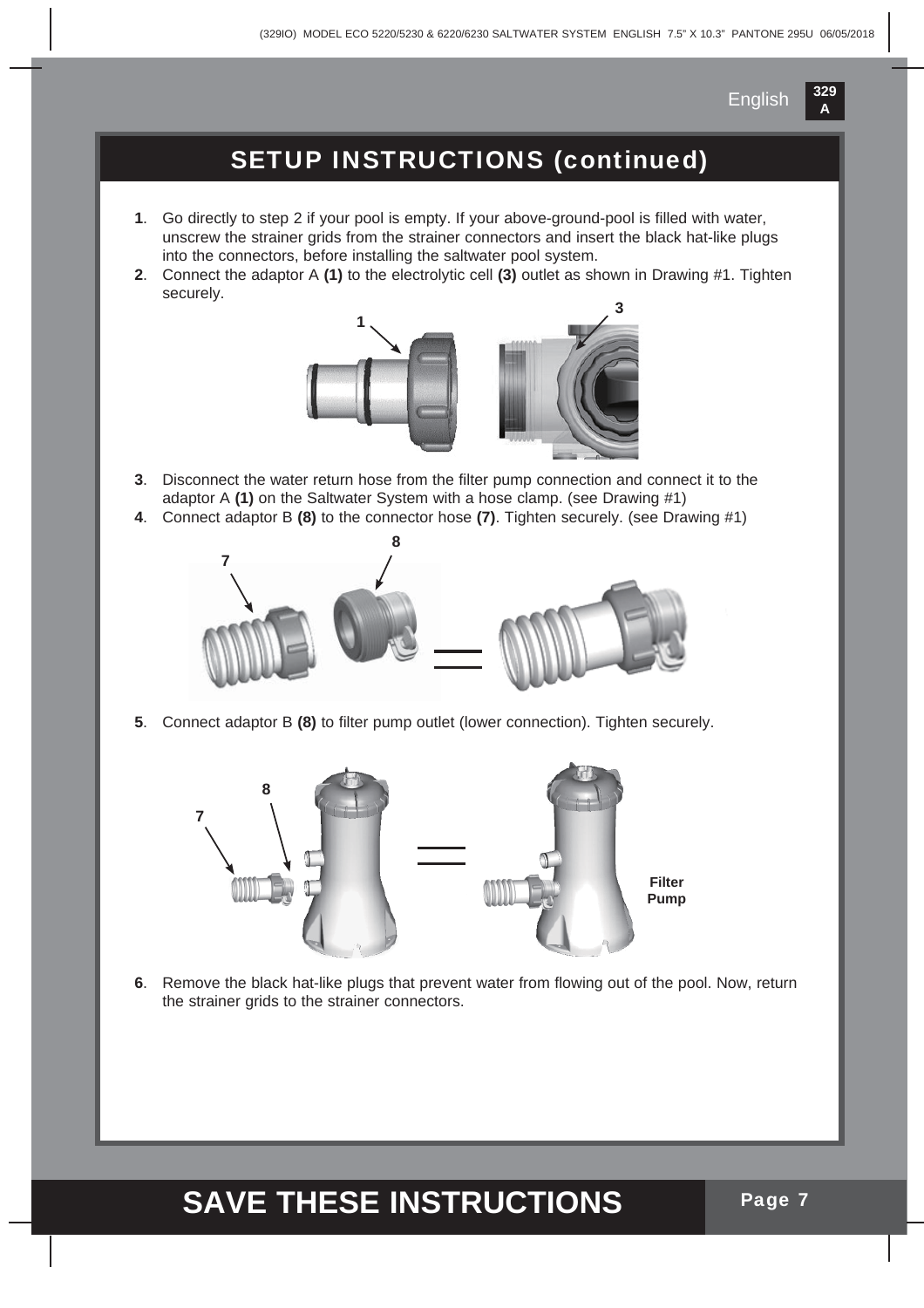#### SETUP INSTRUCTIONS (continued)

- **1**. Go directly to step 2 if your pool is empty. If your above-ground-pool is filled with water, unscrew the strainer grids from the strainer connectors and insert the black hat-like plugs into the connectors, before installing the saltwater pool system.
- **2**. Connect the adaptor A **(1)** to the electrolytic cell **(3)** outlet as shown in Drawing #1. Tighten securely.



- **3**. Disconnect the water return hose from the filter pump connection and connect it to the adaptor A **(1)** on the Saltwater System with a hose clamp. (see Drawing #1)
- **4**. Connect adaptor B **(8)** to the connector hose **(7)**. Tighten securely. (see Drawing #1)



**5**. Connect adaptor B **(8)** to filter pump outlet (lower connection). Tighten securely.



**6**. Remove the black hat-like plugs that prevent water from flowing out of the pool. Now, return the strainer grids to the strainer connectors.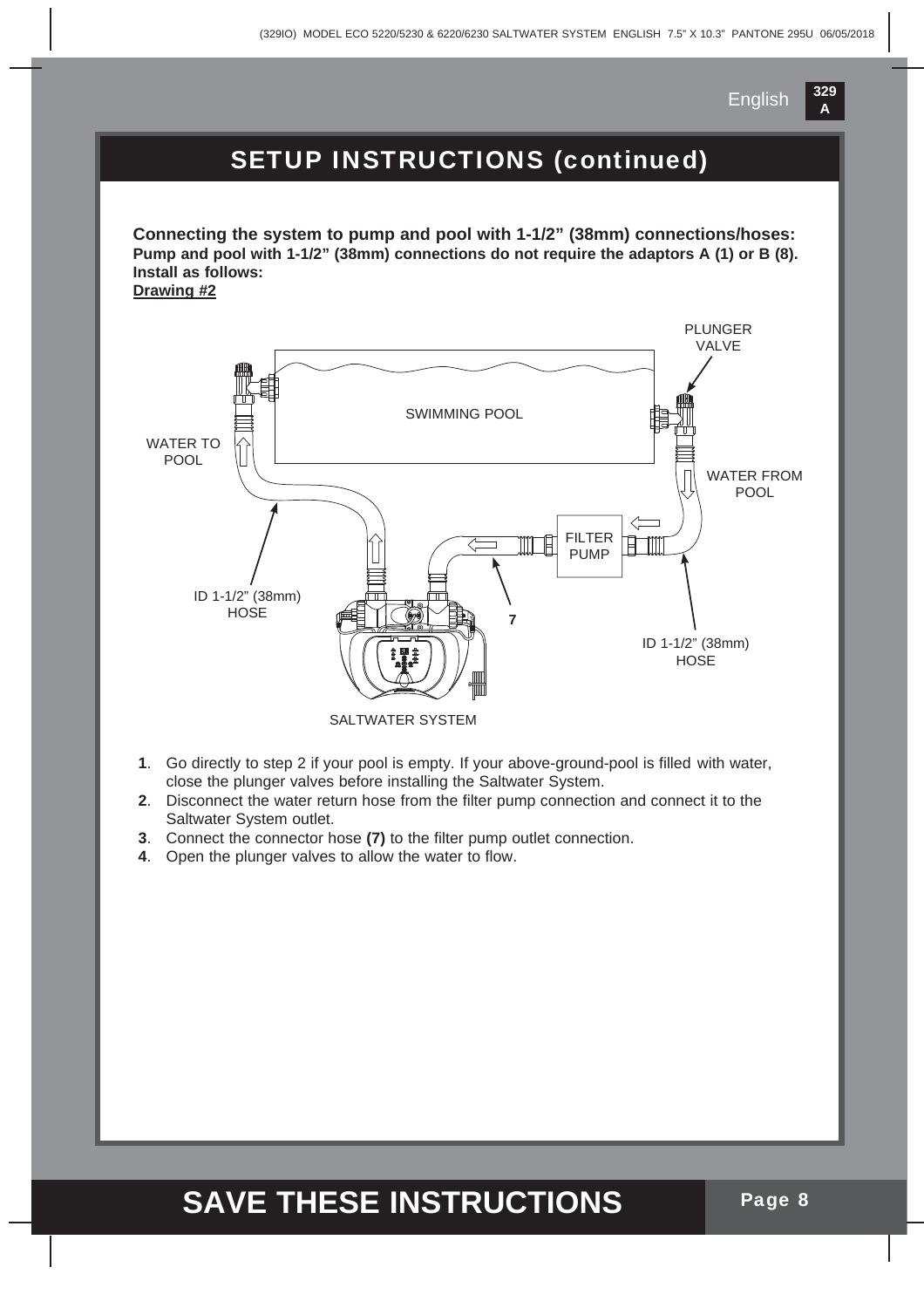

#### SETUP INSTRUCTIONS (continued)

**Connecting the system to pump and pool with 1-1/2" (38mm) connections/hoses: Pump and pool with 1-1/2" (38mm) connections do not require the adaptors A (1) or B (8). Install as follows:**

**Drawing #2**



- **1**. Go directly to step 2 if your pool is empty. If your above-ground-pool is filled with water, close the plunger valves before installing the Saltwater System.
- **2**. Disconnect the water return hose from the filter pump connection and connect it to the Saltwater System outlet.
- **3**. Connect the connector hose **(7)** to the filter pump outlet connection.
- **4**. Open the plunger valves to allow the water to flow.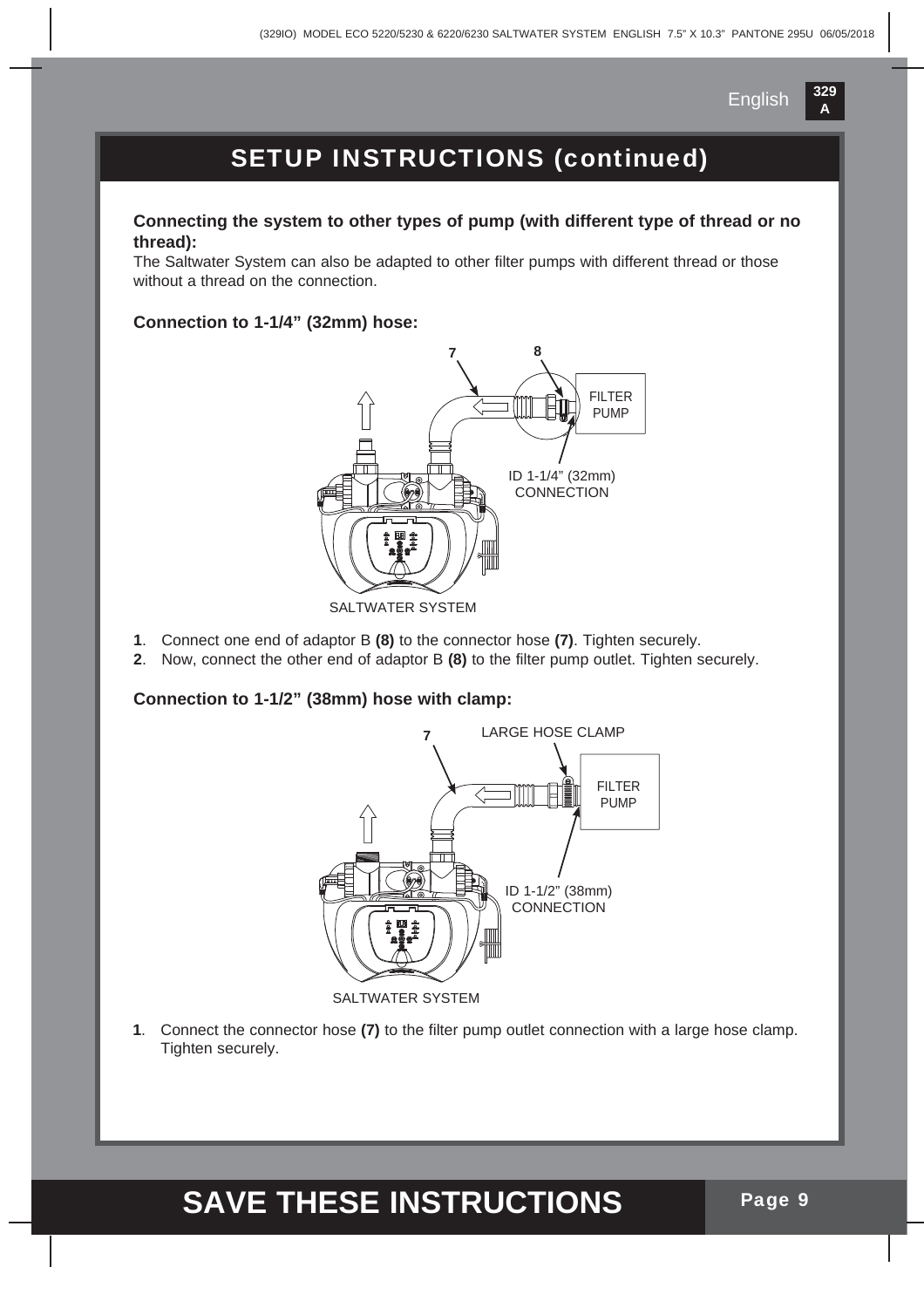

### SETUP INSTRUCTIONS (continued)

#### **Connecting the system to other types of pump (with different type of thread or no thread):**

The Saltwater System can also be adapted to other filter pumps with different thread or those without a thread on the connection.

#### **Connection to 1-1/4" (32mm) hose:**



- **1**. Connect one end of adaptor B **(8)** to the connector hose **(7)**. Tighten securely.
- **2**. Now, connect the other end of adaptor B **(8)** to the filter pump outlet. Tighten securely.

#### **Connection to 1-1/2" (38mm) hose with clamp:**



**1**. Connect the connector hose **(7)** to the filter pump outlet connection with a large hose clamp. Tighten securely.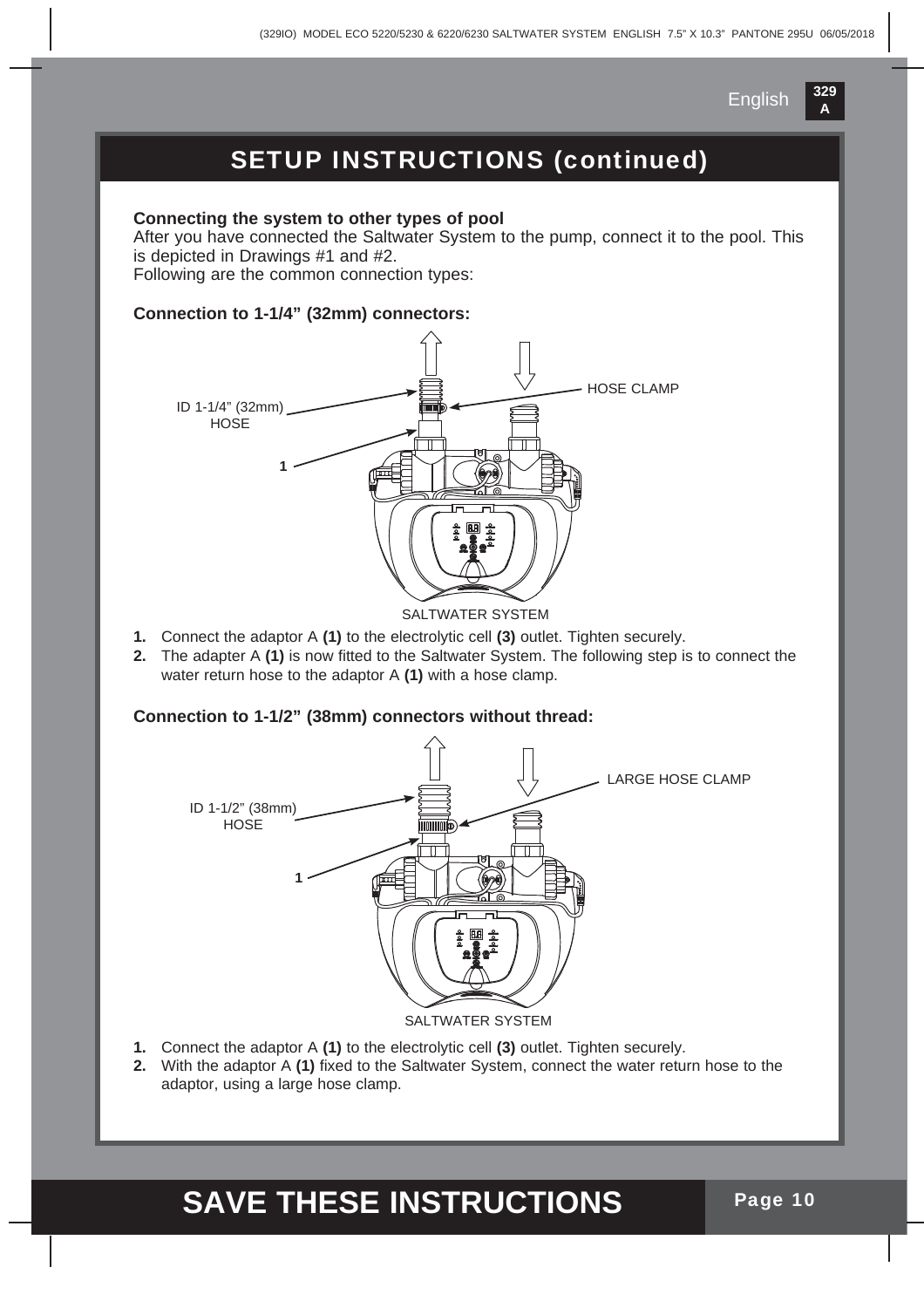

### SETUP INSTRUCTIONS (continued)

#### **Connecting the system to other types of pool**

After you have connected the Saltwater System to the pump, connect it to the pool. This is depicted in Drawings #1 and #2.

Following are the common connection types:

#### **Connection to 1-1/4" (32mm) connectors:**



SALTWATER SYSTEM

- **1.** Connect the adaptor A **(1)** to the electrolytic cell **(3)** outlet. Tighten securely.
- **2.** The adapter A **(1)** is now fitted to the Saltwater System. The following step is to connect the water return hose to the adaptor A **(1)** with a hose clamp.

#### **Connection to 1-1/2" (38mm) connectors without thread:**



- **1.** Connect the adaptor A **(1)** to the electrolytic cell **(3)** outlet. Tighten securely.
- **2.** With the adaptor A **(1)** fixed to the Saltwater System, connect the water return hose to the adaptor, using a large hose clamp.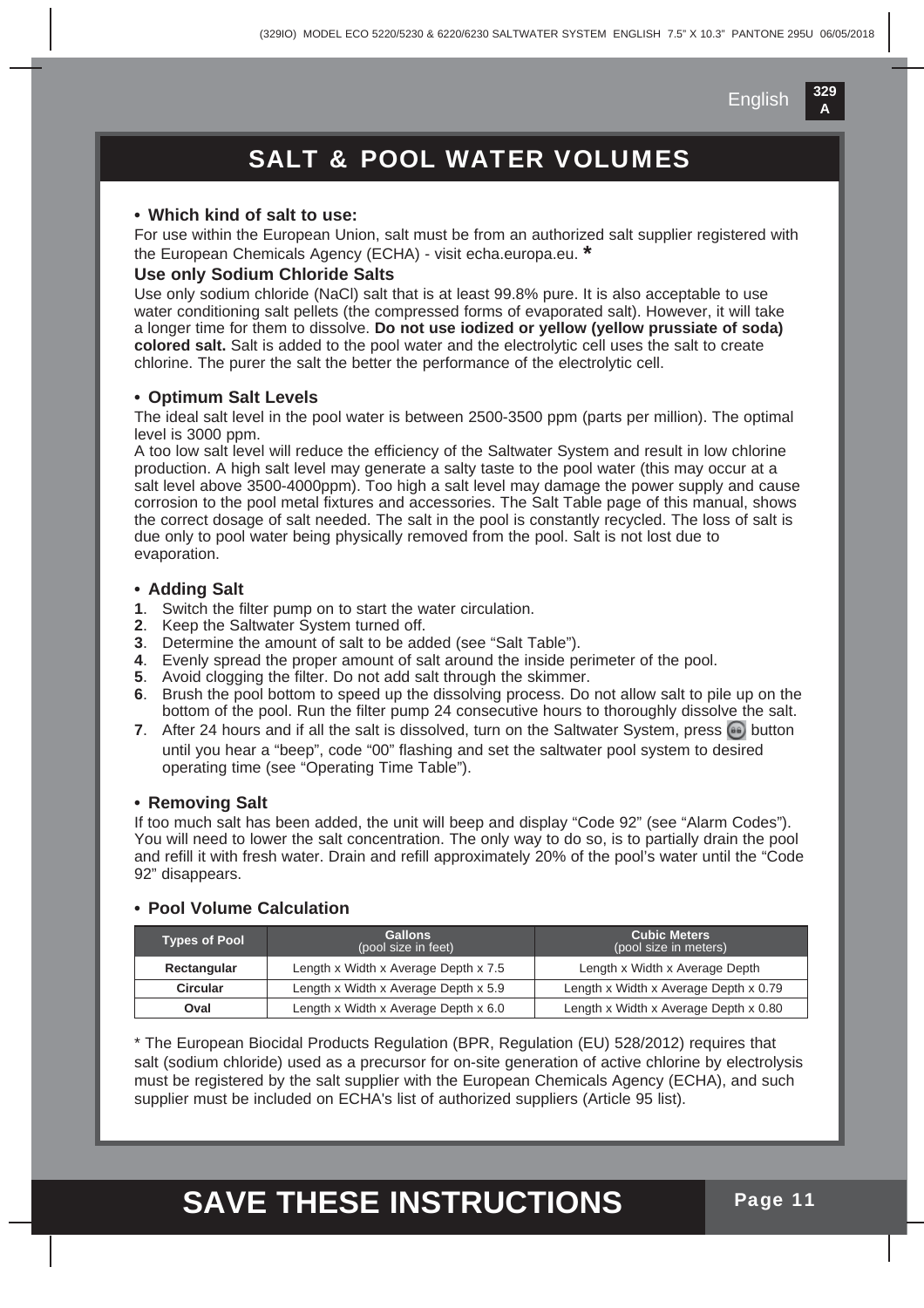### SALT & POOL WATER VOLUMES

#### **• Which kind of salt to use:**

For use within the European Union, salt must be from an authorized salt supplier registered with the European Chemicals Agency (ECHA) - visit echa.europa.eu. **\***

#### **Use only Sodium Chloride Salts**

Use only sodium chloride (NaCl) salt that is at least 99.8% pure. It is also acceptable to use water conditioning salt pellets (the compressed forms of evaporated salt). However, it will take a longer time for them to dissolve. **Do not use iodized or yellow (yellow prussiate of soda) colored salt.** Salt is added to the pool water and the electrolytic cell uses the salt to create chlorine. The purer the salt the better the performance of the electrolytic cell.

#### **• Optimum Salt Levels**

The ideal salt level in the pool water is between 2500-3500 ppm (parts per million). The optimal level is 3000 ppm.

A too low salt level will reduce the efficiency of the Saltwater System and result in low chlorine production. A high salt level may generate a salty taste to the pool water (this may occur at a salt level above 3500-4000ppm). Too high a salt level may damage the power supply and cause corrosion to the pool metal fixtures and accessories. The Salt Table page of this manual, shows the correct dosage of salt needed. The salt in the pool is constantly recycled. The loss of salt is due only to pool water being physically removed from the pool. Salt is not lost due to evaporation.

#### **• Adding Salt**

- **1**. Switch the filter pump on to start the water circulation.
- **2**. Keep the Saltwater System turned off.
- **3**. Determine the amount of salt to be added (see "Salt Table").
- **4**. Evenly spread the proper amount of salt around the inside perimeter of the pool.
- **5**. Avoid clogging the filter. Do not add salt through the skimmer.
- **6**. Brush the pool bottom to speed up the dissolving process. Do not allow salt to pile up on the bottom of the pool. Run the filter pump 24 consecutive hours to thoroughly dissolve the salt.
- **7.** After 24 hours and if all the salt is dissolved, turn on the Saltwater System, press **button**  until you hear a "beep", code "00" flashing and set the saltwater pool system to desired operating time (see "Operating Time Table").

#### **• Removing Salt**

If too much salt has been added, the unit will beep and display "Code 92" (see "Alarm Codes"). You will need to lower the salt concentration. The only way to do so, is to partially drain the pool and refill it with fresh water. Drain and refill approximately 20% of the pool's water until the "Code 92" disappears.

#### **• Pool Volume Calculation**

| <b>Types of Pool</b> | <b>Gallons</b><br>(pool size in feet) | <b>Cubic Meters</b><br>(pool size in meters) |
|----------------------|---------------------------------------|----------------------------------------------|
| Rectangular          | Length x Width x Average Depth x 7.5  | Length x Width x Average Depth               |
| <b>Circular</b>      | Length x Width x Average Depth x 5.9  | Length x Width x Average Depth x 0.79        |
| Oval                 | Length x Width x Average Depth x 6.0  | Length x Width x Average Depth x 0.80        |

\* The European Biocidal Products Regulation (BPR, Regulation (EU) 528/2012) requires that salt (sodium chloride) used as a precursor for on-site generation of active chlorine by electrolysis must be registered by the salt supplier with the European Chemicals Agency (ECHA), and such supplier must be included on ECHA's list of authorized suppliers (Article 95 list).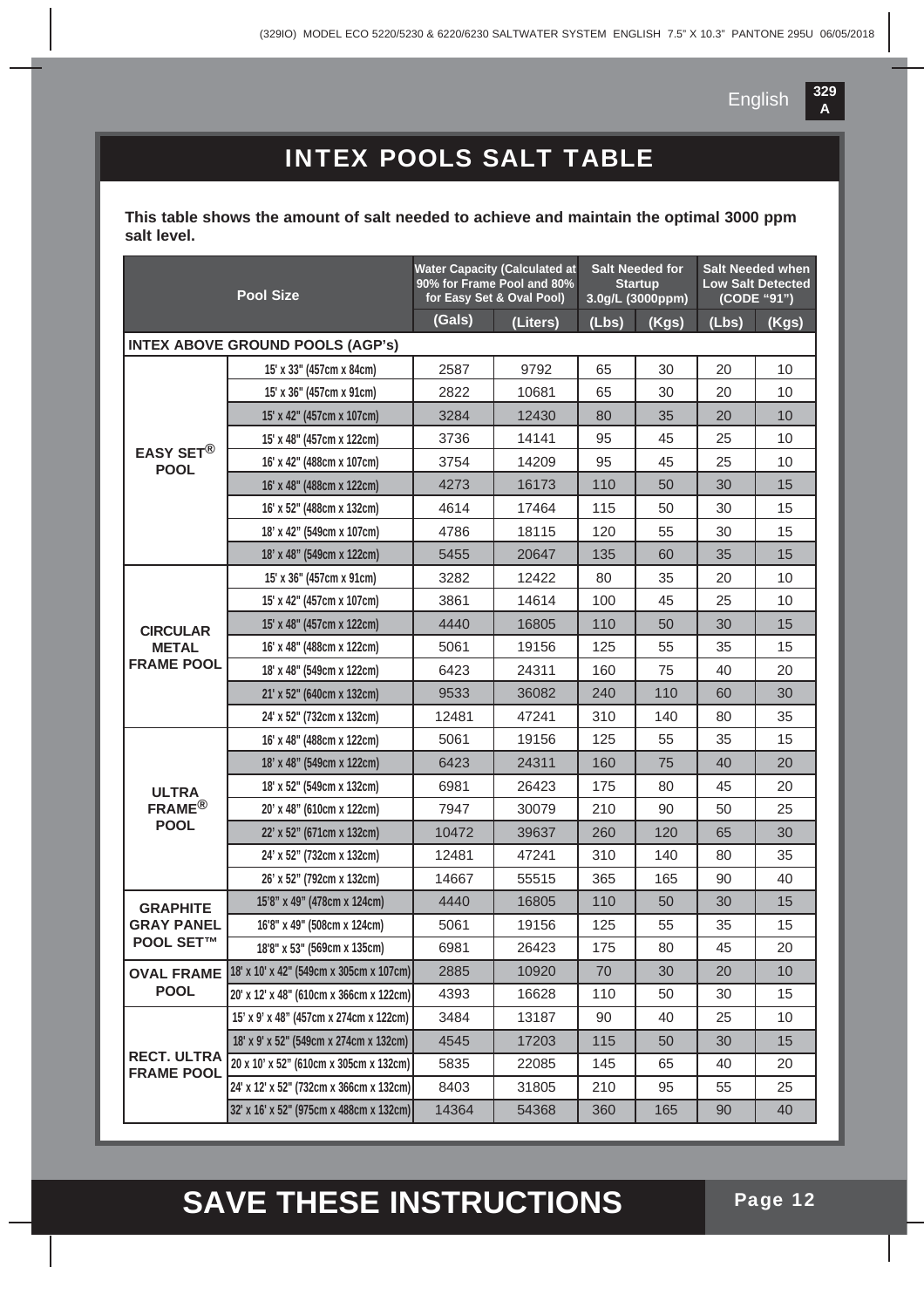

### INTEX POOLS SALT TABLE

**This table shows the amount of salt needed to achieve and maintain the optimal 3000 ppm salt level.**

| <b>Pool Size</b>                        |                                         | <b>Water Capacity (Calculated at</b><br>90% for Frame Pool and 80%<br>for Easy Set & Oval Pool) |          | <b>Salt Needed for</b><br><b>Startup</b><br>3.0g/L (3000ppm) |       | <b>Salt Needed when</b><br><b>Low Salt Detected</b><br>(CODE "91") |       |
|-----------------------------------------|-----------------------------------------|-------------------------------------------------------------------------------------------------|----------|--------------------------------------------------------------|-------|--------------------------------------------------------------------|-------|
|                                         |                                         | (Gals)                                                                                          | (Liters) | (Lbs)                                                        | (Kgs) | (Lbs)                                                              | (Kgs) |
|                                         | <b>INTEX ABOVE GROUND POOLS (AGP's)</b> |                                                                                                 |          |                                                              |       |                                                                    |       |
|                                         | 15' x 33" (457cm x 84cm)                | 2587                                                                                            | 9792     | 65                                                           | 30    | 20                                                                 | 10    |
|                                         | 15' x 36" (457cm x 91cm)                | 2822                                                                                            | 10681    | 65                                                           | 30    | 20                                                                 | 10    |
|                                         | 15' x 42" (457cm x 107cm)               | 3284                                                                                            | 12430    | 80                                                           | 35    | 20                                                                 | 10    |
|                                         | 15' x 48" (457cm x 122cm)               | 3736                                                                                            | 14141    | 95                                                           | 45    | 25                                                                 | 10    |
| EASY SET <sup>®</sup><br><b>POOL</b>    | 16' x 42" (488cm x 107cm)               | 3754                                                                                            | 14209    | 95                                                           | 45    | 25                                                                 | 10    |
|                                         | 16' x 48" (488cm x 122cm)               | 4273                                                                                            | 16173    | 110                                                          | 50    | 30                                                                 | 15    |
|                                         | 16' x 52" (488cm x 132cm)               | 4614                                                                                            | 17464    | 115                                                          | 50    | 30                                                                 | 15    |
|                                         | 18' x 42" (549cm x 107cm)               | 4786                                                                                            | 18115    | 120                                                          | 55    | 30                                                                 | 15    |
|                                         | 18' x 48" (549cm x 122cm)               | 5455                                                                                            | 20647    | 135                                                          | 60    | 35                                                                 | 15    |
|                                         | 15' x 36" (457cm x 91cm)                | 3282                                                                                            | 12422    | 80                                                           | 35    | 20                                                                 | 10    |
|                                         | 15' x 42" (457cm x 107cm)               | 3861                                                                                            | 14614    | 100                                                          | 45    | 25                                                                 | 10    |
| <b>CIRCULAR</b>                         | 15' x 48" (457cm x 122cm)               | 4440                                                                                            | 16805    | 110                                                          | 50    | 30                                                                 | 15    |
| <b>METAL</b>                            | 16' x 48" (488cm x 122cm)               | 5061                                                                                            | 19156    | 125                                                          | 55    | 35                                                                 | 15    |
| <b>FRAME POOL</b>                       | 18' x 48" (549cm x 122cm)               | 6423                                                                                            | 24311    | 160                                                          | 75    | 40                                                                 | 20    |
|                                         | 21' x 52" (640cm x 132cm)               | 9533                                                                                            | 36082    | 240                                                          | 110   | 60                                                                 | 30    |
|                                         | 24' x 52" (732cm x 132cm)               | 12481                                                                                           | 47241    | 310                                                          | 140   | 80                                                                 | 35    |
|                                         | 16' x 48" (488cm x 122cm)               | 5061                                                                                            | 19156    | 125                                                          | 55    | 35                                                                 | 15    |
|                                         | 18' x 48" (549cm x 122cm)               | 6423                                                                                            | 24311    | 160                                                          | 75    | 40                                                                 | 20    |
| <b>ULTRA</b>                            | 18' x 52" (549cm x 132cm)               | 6981                                                                                            | 26423    | 175                                                          | 80    | 45                                                                 | 20    |
| FRAME <sup>®</sup>                      | 20' x 48" (610cm x 122cm)               | 7947                                                                                            | 30079    | 210                                                          | 90    | 50                                                                 | 25    |
| <b>POOL</b>                             | 22' x 52" (671cm x 132cm)               | 10472                                                                                           | 39637    | 260                                                          | 120   | 65                                                                 | 30    |
|                                         | 24' x 52" (732cm x 132cm)               | 12481                                                                                           | 47241    | 310                                                          | 140   | 80                                                                 | 35    |
|                                         | 26' x 52" (792cm x 132cm)               | 14667                                                                                           | 55515    | 365                                                          | 165   | 90                                                                 | 40    |
| <b>GRAPHITE</b>                         | 15'8" x 49" (478cm x 124cm)             | 4440                                                                                            | 16805    | 110                                                          | 50    | 30                                                                 | 15    |
| <b>GRAY PANEL</b>                       | 16'8" x 49" (508cm x 124cm)             | 5061                                                                                            | 19156    | 125                                                          | 55    | 35                                                                 | 15    |
| <b>POOL SET™</b>                        | 18'8" x 53" (569cm x 135cm)             | 6981                                                                                            | 26423    | 175                                                          | 80    | 45                                                                 | 20    |
| <b>OVAL FRAME</b>                       | 18' x 10' x 42" (549cm x 305cm x 107cm) | 2885                                                                                            | 10920    | 70                                                           | 30    | 20                                                                 | 10    |
| <b>POOL</b>                             | 20' x 12' x 48" (610cm x 366cm x 122cm) | 4393                                                                                            | 16628    | 110                                                          | 50    | 30                                                                 | 15    |
|                                         | 15' x 9' x 48" (457cm x 274cm x 122cm)  | 3484                                                                                            | 13187    | 90                                                           | 40    | 25                                                                 | 10    |
|                                         | 18' x 9' x 52" (549cm x 274cm x 132cm)  | 4545                                                                                            | 17203    | 115                                                          | 50    | 30                                                                 | 15    |
| <b>RECT. ULTRA</b><br><b>FRAME POOL</b> | 20 x 10' x 52" (610cm x 305cm x 132cm)  | 5835                                                                                            | 22085    | 145                                                          | 65    | 40                                                                 | 20    |
|                                         | 24' x 12' x 52" (732cm x 366cm x 132cm) | 8403                                                                                            | 31805    | 210                                                          | 95    | 55                                                                 | 25    |
|                                         | 32' x 16' x 52" (975cm x 488cm x 132cm) | 14364                                                                                           | 54368    | 360                                                          | 165   | 90                                                                 | 40    |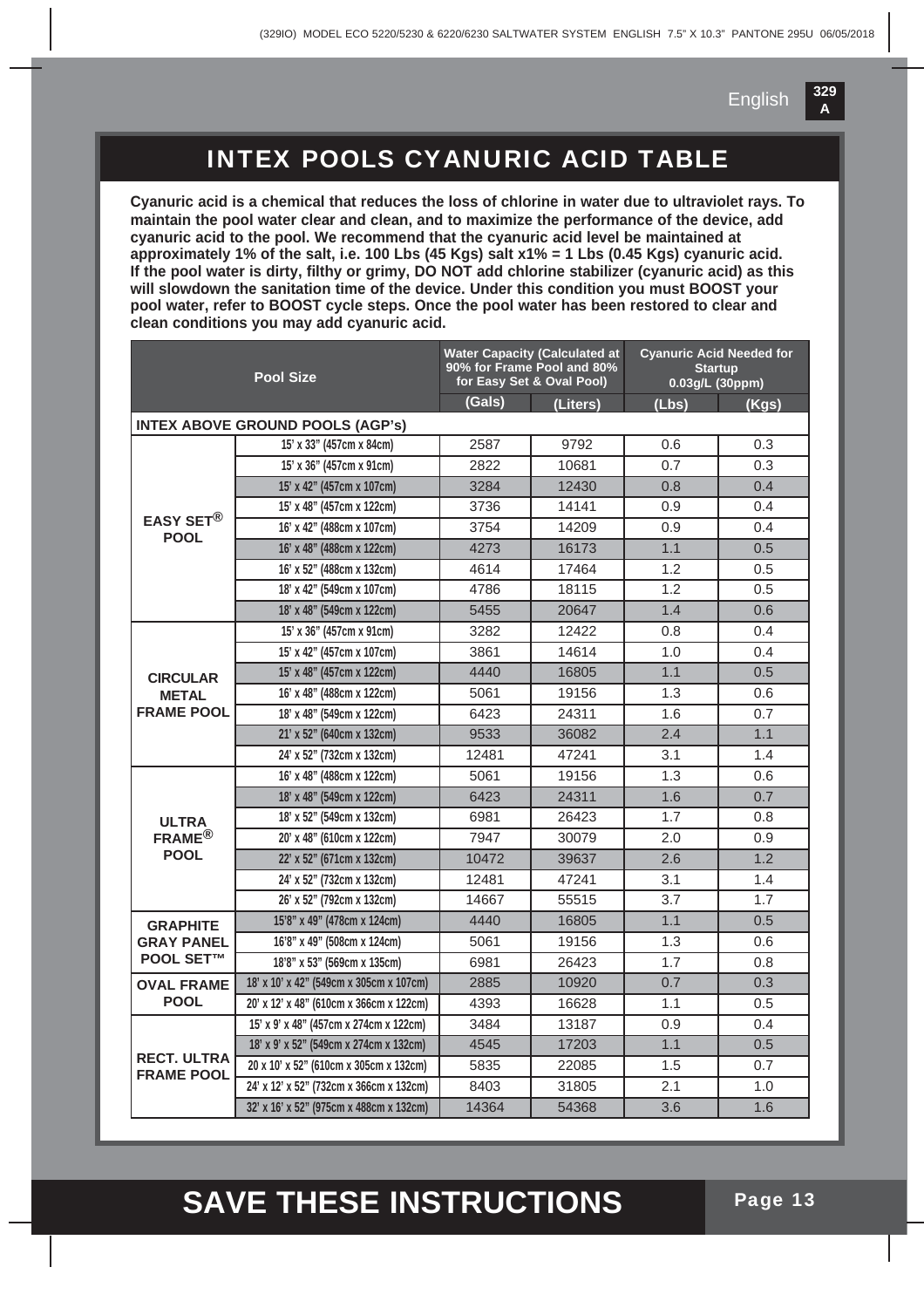### INTEX POOLS CYANURIC ACID TABLE

**Cyanuric acid is a chemical that reduces the loss of chlorine in water due to ultraviolet rays. To maintain the pool water clear and clean, and to maximize the performance of the device, add cyanuric acid to the pool. We recommend that the cyanuric acid level be maintained at approximately 1% of the salt, i.e. 100 Lbs (45 Kgs) salt x1% = 1 Lbs (0.45 Kgs) cyanuric acid. If the pool water is dirty, filthy or grimy, DO NOT add chlorine stabilizer (cyanuric acid) as this will slowdown the sanitation time of the device. Under this condition you must BOOST your pool water, refer to BOOST cycle steps. Once the pool water has been restored to clear and clean conditions you may add cyanuric acid.**

| <b>Pool Size</b>                        |                                         |        | <b>Water Capacity (Calculated at</b><br>90% for Frame Pool and 80%<br>for Easy Set & Oval Pool) | <b>Cyanuric Acid Needed for</b><br><b>Startup</b><br>0.03g/L (30ppm) |       |  |
|-----------------------------------------|-----------------------------------------|--------|-------------------------------------------------------------------------------------------------|----------------------------------------------------------------------|-------|--|
|                                         |                                         | (Gals) | (Liters)                                                                                        | (Lbs)                                                                | (Kgs) |  |
|                                         | <b>INTEX ABOVE GROUND POOLS (AGP's)</b> |        |                                                                                                 |                                                                      |       |  |
|                                         | 15' x 33" (457cm x 84cm)                | 2587   | 9792                                                                                            | 0.6                                                                  | 0.3   |  |
|                                         | 15' x 36" (457cm x 91cm)                | 2822   | 10681                                                                                           | 0.7                                                                  | 0.3   |  |
|                                         | 15' x 42" (457cm x 107cm)               | 3284   | 12430                                                                                           | 0.8                                                                  | 0.4   |  |
|                                         | 15' x 48" (457cm x 122cm)               | 3736   | 14141                                                                                           | 0.9                                                                  | 0.4   |  |
| EASY SET $^\circledR$<br><b>POOL</b>    | 16' x 42" (488cm x 107cm)               | 3754   | 14209                                                                                           | 0.9                                                                  | 0.4   |  |
|                                         | 16' x 48" (488cm x 122cm)               | 4273   | 16173                                                                                           | 1.1                                                                  | 0.5   |  |
|                                         | 16' x 52" (488cm x 132cm)               | 4614   | 17464                                                                                           | 1.2                                                                  | 0.5   |  |
|                                         | 18' x 42" (549cm x 107cm)               | 4786   | 18115                                                                                           | 1.2                                                                  | 0.5   |  |
|                                         | 18' x 48" (549cm x 122cm)               | 5455   | 20647                                                                                           | 1.4                                                                  | 0.6   |  |
|                                         | 15' x 36" (457cm x 91cm)                | 3282   | 12422                                                                                           | 0.8                                                                  | 0.4   |  |
|                                         | 15' x 42" (457cm x 107cm)               | 3861   | 14614                                                                                           | 1.0                                                                  | 0.4   |  |
| <b>CIRCULAR</b>                         | 15' x 48" (457cm x 122cm)               | 4440   | 16805                                                                                           | 1.1                                                                  | 0.5   |  |
| <b>METAL</b>                            | 16' x 48" (488cm x 122cm)               | 5061   | 19156                                                                                           | 1.3                                                                  | 0.6   |  |
| <b>FRAME POOL</b>                       | 18' x 48" (549cm x 122cm)               | 6423   | 24311                                                                                           | 1.6                                                                  | 0.7   |  |
|                                         | 21' x 52" (640cm x 132cm)               | 9533   | 36082                                                                                           | 2.4                                                                  | 1.1   |  |
|                                         | 24' x 52" (732cm x 132cm)               | 12481  | 47241                                                                                           | 3.1                                                                  | 1.4   |  |
|                                         | 16' x 48" (488cm x 122cm)               | 5061   | 19156                                                                                           | 1.3                                                                  | 0.6   |  |
|                                         | 18' x 48" (549cm x 122cm)               | 6423   | 24311                                                                                           | 1.6                                                                  | 0.7   |  |
| <b>ULTRA</b>                            | 18' x 52" (549cm x 132cm)               | 6981   | 26423                                                                                           | 1.7                                                                  | 0.8   |  |
| $FRAME^{\circledR}$                     | 20' x 48" (610cm x 122cm)               | 7947   | 30079                                                                                           | 2.0                                                                  | 0.9   |  |
| <b>POOL</b>                             | 22' x 52" (671cm x 132cm)               | 10472  | 39637                                                                                           | 2.6                                                                  | 1.2   |  |
|                                         | 24' x 52" (732cm x 132cm)               | 12481  | 47241                                                                                           | 3.1                                                                  | 1.4   |  |
|                                         | 26' x 52" (792cm x 132cm)               | 14667  | 55515                                                                                           | 3.7                                                                  | 1.7   |  |
| <b>GRAPHITE</b>                         | 15'8" x 49" (478cm x 124cm)             | 4440   | 16805                                                                                           | 1.1                                                                  | 0.5   |  |
| <b>GRAY PANEL</b>                       | 16'8" x 49" (508cm x 124cm)             | 5061   | 19156                                                                                           | 1.3                                                                  | 0.6   |  |
| <b>POOL SET™</b>                        | 18'8" x 53" (569cm x 135cm)             | 6981   | 26423                                                                                           | 1.7                                                                  | 0.8   |  |
| <b>OVAL FRAME</b>                       | 18' x 10' x 42" (549cm x 305cm x 107cm) | 2885   | 10920                                                                                           | 0.7                                                                  | 0.3   |  |
| <b>POOL</b>                             | 20' x 12' x 48" (610cm x 366cm x 122cm) | 4393   | 16628                                                                                           | 1.1                                                                  | 0.5   |  |
|                                         | 15' x 9' x 48" (457cm x 274cm x 122cm)  | 3484   | 13187                                                                                           | 0.9                                                                  | 0.4   |  |
|                                         | 18' x 9' x 52" (549cm x 274cm x 132cm)  | 4545   | 17203                                                                                           | 1.1                                                                  | 0.5   |  |
| <b>RECT. ULTRA</b><br><b>FRAME POOL</b> | 20 x 10' x 52" (610cm x 305cm x 132cm)  | 5835   | 22085                                                                                           | 1.5                                                                  | 0.7   |  |
|                                         | 24' x 12' x 52" (732cm x 366cm x 132cm) | 8403   | 31805                                                                                           | 2.1                                                                  | 1.0   |  |
|                                         | 32' x 16' x 52" (975cm x 488cm x 132cm) | 14364  | 54368                                                                                           | 3.6                                                                  | 1.6   |  |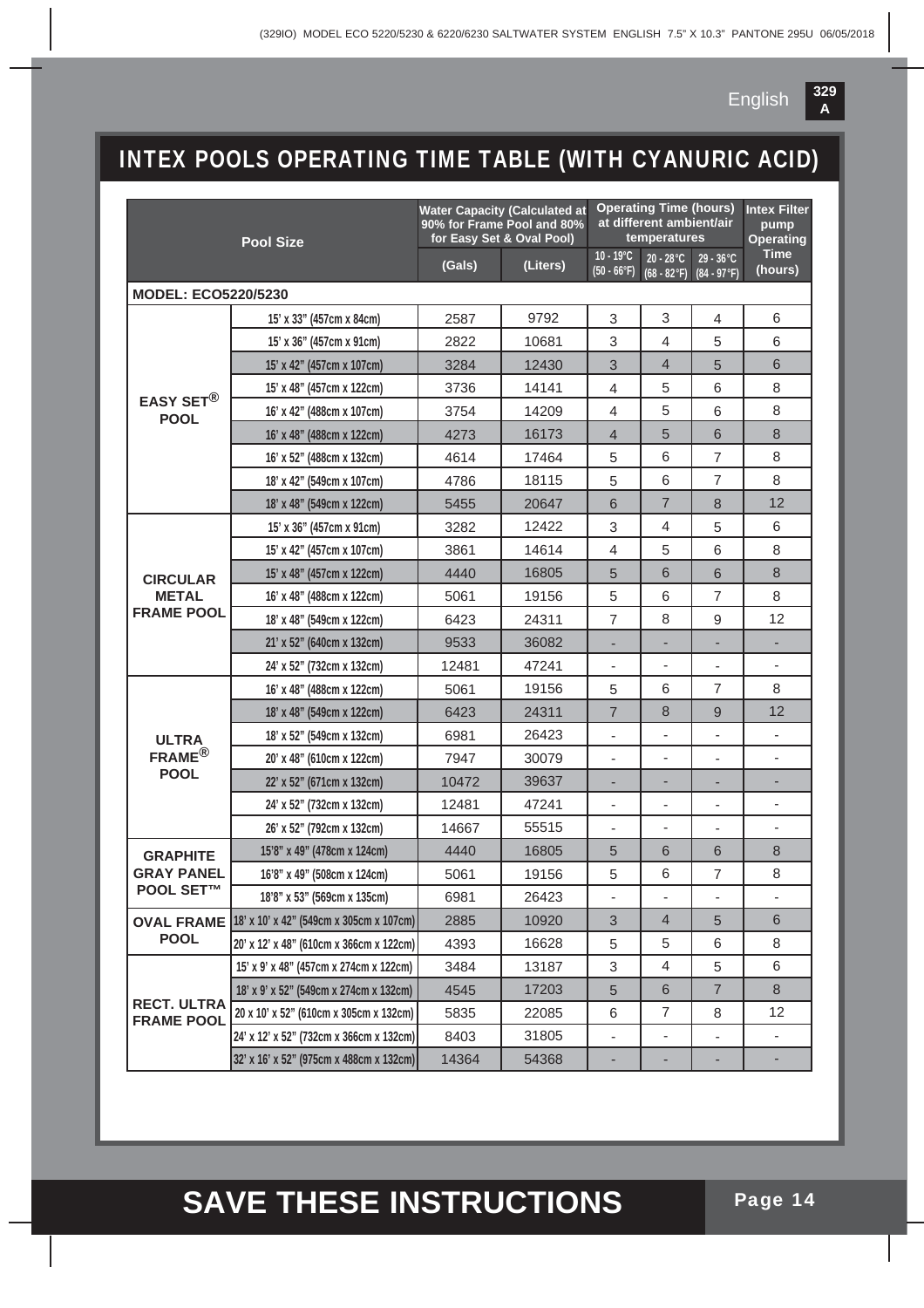

### INTEX POOLS OPERATING TIME TABLE (WITH CYANURIC ACID)

| <b>Pool Size</b>                        |                                         | <b>Water Capacity (Calculated at</b><br>90% for Frame Pool and 80%<br>for Easy Set & Oval Pool) |          | <b>Operating Time (hours)</b><br>at different ambient/air<br>temperatures |                                |                                      | <b>Intex Filter</b><br>pump<br><b>Operating</b> |
|-----------------------------------------|-----------------------------------------|-------------------------------------------------------------------------------------------------|----------|---------------------------------------------------------------------------|--------------------------------|--------------------------------------|-------------------------------------------------|
|                                         |                                         | (Gals)                                                                                          | (Liters) | $10 - 19^{\circ}C$<br>$(50 - 66°F)$                                       | $20 - 28$ °C<br>$(68 - 82$ °F) | $29 - 36^{\circ}C$<br>$(84 - 97$ °F) | <b>Time</b><br>(hours)                          |
| <b>MODEL: ECO5220/5230</b>              |                                         |                                                                                                 |          |                                                                           |                                |                                      |                                                 |
|                                         | 15' x 33" (457cm x 84cm)                | 2587                                                                                            | 9792     | 3                                                                         | 3                              | $\overline{\mathcal{L}}$             | 6                                               |
|                                         | 15' x 36" (457cm x 91cm)                | 2822                                                                                            | 10681    | 3                                                                         | 4                              | 5                                    | 6                                               |
|                                         | 15' x 42" (457cm x 107cm)               | 3284                                                                                            | 12430    | 3                                                                         | 4                              | 5                                    | 6                                               |
|                                         | 15' x 48" (457cm x 122cm)               | 3736                                                                                            | 14141    | $\overline{4}$                                                            | 5                              | 6                                    | 8                                               |
| EASY SET <sup>®</sup><br><b>POOL</b>    | 16' x 42" (488cm x 107cm)               | 3754                                                                                            | 14209    | 4                                                                         | 5                              | 6                                    | 8                                               |
|                                         | 16' x 48" (488cm x 122cm)               | 4273                                                                                            | 16173    | $\overline{4}$                                                            | 5                              | 6                                    | 8                                               |
|                                         | 16' x 52" (488cm x 132cm)               | 4614                                                                                            | 17464    | 5                                                                         | 6                              | 7                                    | 8                                               |
|                                         | 18' x 42" (549cm x 107cm)               | 4786                                                                                            | 18115    | 5                                                                         | 6                              | 7                                    | 8                                               |
|                                         | 18' x 48" (549cm x 122cm)               | 5455                                                                                            | 20647    | 6                                                                         | 7                              | 8                                    | 12                                              |
|                                         | 15' x 36" (457cm x 91cm)                | 3282                                                                                            | 12422    | 3                                                                         | 4                              | 5                                    | 6                                               |
|                                         | 15' x 42" (457cm x 107cm)               | 3861                                                                                            | 14614    | 4                                                                         | 5                              | 6                                    | 8                                               |
| <b>CIRCULAR</b>                         | 15' x 48" (457cm x 122cm)               | 4440                                                                                            | 16805    | 5                                                                         | 6                              | 6                                    | 8                                               |
| <b>METAL</b>                            | 16' x 48" (488cm x 122cm)               | 5061                                                                                            | 19156    | 5                                                                         | 6                              | 7                                    | 8                                               |
| <b>FRAME POOL</b>                       | 18' x 48" (549cm x 122cm)               | 6423                                                                                            | 24311    | $\overline{7}$                                                            | 8                              | 9                                    | 12                                              |
|                                         | 21' x 52" (640cm x 132cm)               | 9533                                                                                            | 36082    | ۰                                                                         |                                | ٠                                    |                                                 |
|                                         | 24' x 52" (732cm x 132cm)               | 12481                                                                                           | 47241    |                                                                           |                                |                                      |                                                 |
|                                         | 16' x 48" (488cm x 122cm)               | 5061                                                                                            | 19156    | 5                                                                         | 6                              | 7                                    | 8                                               |
|                                         | 18' x 48" (549cm x 122cm)               | 6423                                                                                            | 24311    | $\overline{7}$                                                            | 8                              | 9                                    | 12                                              |
| <b>ULTRA</b>                            | 18' x 52" (549cm x 132cm)               | 6981                                                                                            | 26423    |                                                                           |                                |                                      |                                                 |
| $FRAME^{\circledR}$                     | 20' x 48" (610cm x 122cm)               | 7947                                                                                            | 30079    | ÷,                                                                        | ۰                              | $\overline{\phantom{0}}$             |                                                 |
| <b>POOL</b>                             | 22' x 52" (671cm x 132cm)               | 10472                                                                                           | 39637    |                                                                           |                                |                                      |                                                 |
|                                         | 24' x 52" (732cm x 132cm)               | 12481                                                                                           | 47241    | $\frac{1}{2}$                                                             | $\overline{\phantom{0}}$       | $\overline{\phantom{0}}$             | $\overline{\phantom{m}}$                        |
|                                         | 26' x 52" (792cm x 132cm)               | 14667                                                                                           | 55515    |                                                                           | $\frac{1}{2}$                  |                                      | $\overline{\phantom{m}}$                        |
| <b>GRAPHITE</b>                         | 15'8" x 49" (478cm x 124cm)             | 4440                                                                                            | 16805    | 5                                                                         | 6                              | 6                                    | 8                                               |
| <b>GRAY PANEL</b>                       | 16'8" x 49" (508cm x 124cm)             | 5061                                                                                            | 19156    | 5                                                                         | 6                              | $\overline{7}$                       | 8                                               |
| <b>POOL SET™</b>                        | 18'8" x 53" (569cm x 135cm)             | 6981                                                                                            | 26423    |                                                                           | $\overline{\phantom{a}}$       | $\overline{\phantom{0}}$             | $\overline{\phantom{a}}$                        |
| <b>OVAL FRAME</b>                       | 18' x 10' x 42" (549cm x 305cm x 107cm) | 2885                                                                                            | 10920    | 3                                                                         | 4                              | 5                                    | 6                                               |
| <b>POOL</b>                             | 20' x 12' x 48" (610cm x 366cm x 122cm) | 4393                                                                                            | 16628    | 5                                                                         | 5                              | 6                                    | 8                                               |
|                                         | 15' x 9' x 48" (457cm x 274cm x 122cm)  | 3484                                                                                            | 13187    | 3                                                                         | 4                              | 5                                    | 6                                               |
|                                         | 18' x 9' x 52" (549cm x 274cm x 132cm)  | 4545                                                                                            | 17203    | 5                                                                         | 6                              | $\overline{7}$                       | 8                                               |
| <b>RECT. ULTRA</b><br><b>FRAME POOL</b> | 20 x 10' x 52" (610cm x 305cm x 132cm)  | 5835                                                                                            | 22085    | 6                                                                         | 7                              | 8                                    | 12                                              |
|                                         | 24' x 12' x 52" (732cm x 366cm x 132cm) | 8403                                                                                            | 31805    |                                                                           |                                | $\overline{\phantom{a}}$             | $\overline{\phantom{a}}$                        |
|                                         | 32' x 16' x 52" (975cm x 488cm x 132cm) | 14364                                                                                           | 54368    |                                                                           |                                |                                      |                                                 |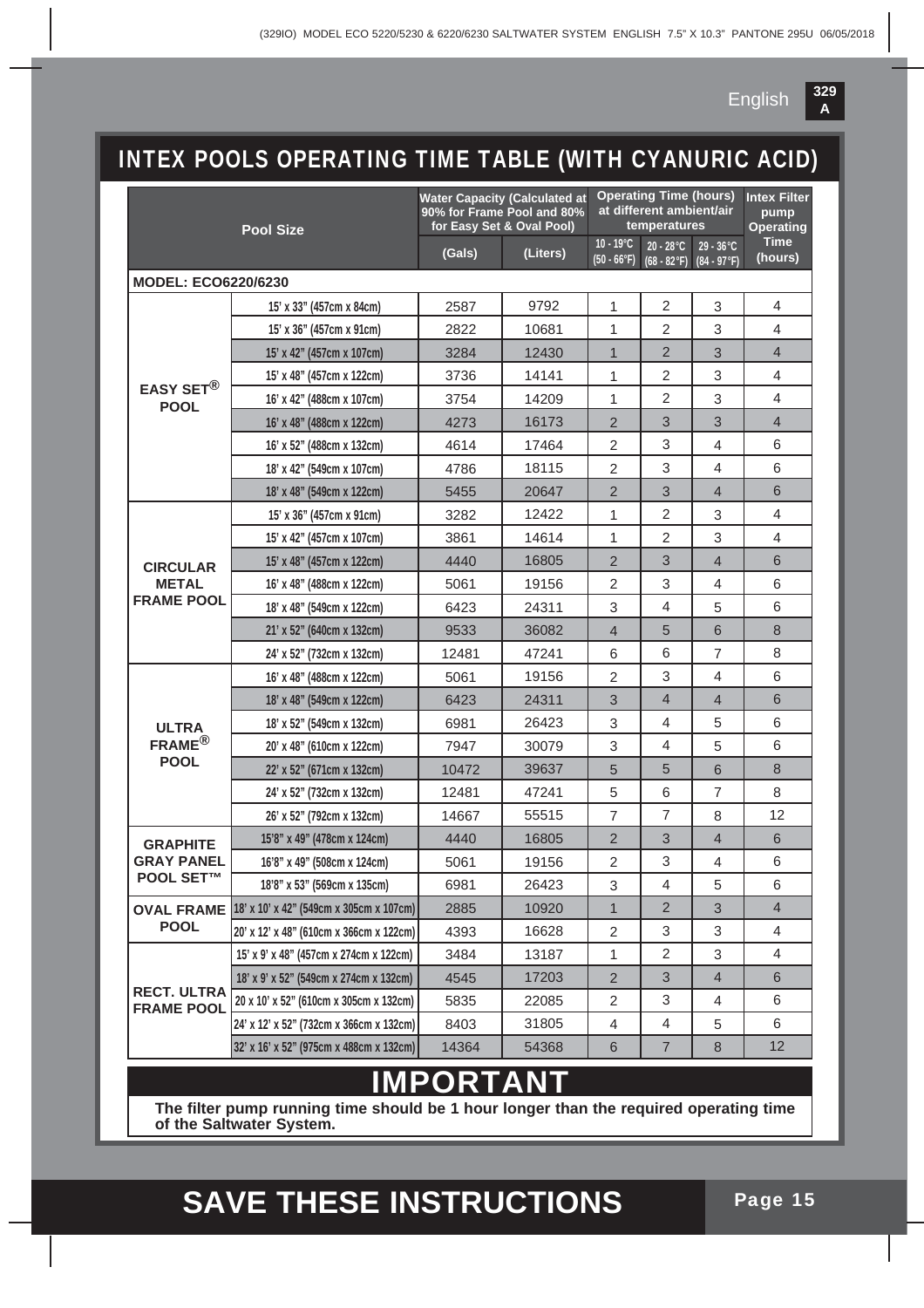

### INTEX POOLS OPERATING TIME TABLE (WITH CYANURIC ACID)

| <b>Pool Size</b>                        |                                         |           | <b>Water Capacity (Calculated at</b><br>90% for Frame Pool and 80%<br>for Easy Set & Oval Pool) | <b>Operating Time (hours)</b><br>at different ambient/air<br>temperatures |                                |                                      | <b>Intex Filter</b><br>pump<br><b>Operating</b> |
|-----------------------------------------|-----------------------------------------|-----------|-------------------------------------------------------------------------------------------------|---------------------------------------------------------------------------|--------------------------------|--------------------------------------|-------------------------------------------------|
|                                         |                                         | (Gals)    | (Liters)                                                                                        | $10 - 19^{\circ}C$<br>$(50 - 66°F)$                                       | $20 - 28$ °C<br>$(68 - 82$ °F) | $29 - 36^{\circ}C$<br>$(84 - 97$ °F) | <b>Time</b><br>(hours)                          |
| <b>MODEL: ECO6220/6230</b>              |                                         |           |                                                                                                 |                                                                           |                                |                                      |                                                 |
|                                         | 15' x 33" (457cm x 84cm)                | 2587      | 9792                                                                                            | 1                                                                         | $\overline{2}$                 | 3                                    | 4                                               |
|                                         | 15' x 36" (457cm x 91cm)                | 2822      | 10681                                                                                           | 1                                                                         | 2                              | 3                                    | 4                                               |
|                                         | 15' x 42" (457cm x 107cm)               | 3284      | 12430                                                                                           | $\mathbf 1$                                                               | $\overline{2}$                 | 3                                    | $\overline{4}$                                  |
|                                         | 15' x 48" (457cm x 122cm)               | 3736      | 14141                                                                                           | 1                                                                         | $\overline{2}$                 | 3                                    | 4                                               |
| <b>EASY SET®</b><br><b>POOL</b>         | 16' x 42" (488cm x 107cm)               | 3754      | 14209                                                                                           | 1                                                                         | 2                              | 3                                    | 4                                               |
|                                         | 16' x 48" (488cm x 122cm)               | 4273      | 16173                                                                                           | $\overline{2}$                                                            | 3                              | 3                                    | $\overline{4}$                                  |
|                                         | 16' x 52" (488cm x 132cm)               | 4614      | 17464                                                                                           | $\overline{c}$                                                            | 3                              | 4                                    | 6                                               |
|                                         | 18' x 42" (549cm x 107cm)               | 4786      | 18115                                                                                           | $\overline{2}$                                                            | 3                              | 4                                    | 6                                               |
|                                         | 18' x 48" (549cm x 122cm)               | 5455      | 20647                                                                                           | $\overline{2}$                                                            | 3                              | 4                                    | 6                                               |
|                                         | 15' x 36" (457cm x 91cm)                | 3282      | 12422                                                                                           | 1                                                                         | $\overline{2}$                 | 3                                    | 4                                               |
|                                         | 15' x 42" (457cm x 107cm)               | 3861      | 14614                                                                                           | 1                                                                         | 2                              | 3                                    | 4                                               |
| <b>CIRCULAR</b>                         | 15' x 48" (457cm x 122cm)               | 4440      | 16805                                                                                           | $\overline{2}$                                                            | 3                              | 4                                    | 6                                               |
| <b>METAL</b>                            | 16' x 48" (488cm x 122cm)               | 5061      | 19156                                                                                           | 2                                                                         | 3                              | 4                                    | 6                                               |
| <b>FRAME POOL</b>                       | 18' x 48" (549cm x 122cm)               | 6423      | 24311                                                                                           | 3                                                                         | 4                              | 5                                    | 6                                               |
|                                         | 21' x 52" (640cm x 132cm)               | 9533      | 36082                                                                                           | $\overline{4}$                                                            | 5                              | 6                                    | 8                                               |
|                                         | 24' x 52" (732cm x 132cm)               | 12481     | 47241                                                                                           | 6                                                                         | 6                              | 7                                    | 8                                               |
|                                         | 16' x 48" (488cm x 122cm)               | 5061      | 19156                                                                                           | 2                                                                         | 3                              | 4                                    | 6                                               |
|                                         | 18' x 48" (549cm x 122cm)               | 6423      | 24311                                                                                           | 3                                                                         | 4                              | 4                                    | 6                                               |
| <b>ULTRA</b>                            | 18' x 52" (549cm x 132cm)               | 6981      | 26423                                                                                           | 3                                                                         | 4                              | 5                                    | 6                                               |
| $FRAME^{\circledR}$                     | 20' x 48" (610cm x 122cm)               | 7947      | 30079                                                                                           | 3                                                                         | 4                              | 5                                    | 6                                               |
| <b>POOL</b>                             | 22' x 52" (671cm x 132cm)               | 10472     | 39637                                                                                           | 5                                                                         | 5                              | 6                                    | 8                                               |
|                                         | 24' x 52" (732cm x 132cm)               | 12481     | 47241                                                                                           | 5                                                                         | 6                              | $\overline{7}$                       | 8                                               |
|                                         | 26' x 52" (792cm x 132cm)               | 14667     | 55515                                                                                           | $\overline{7}$                                                            | 7                              | 8                                    | 12                                              |
| <b>GRAPHITE</b>                         | 15'8" x 49" (478cm x 124cm)             | 4440      | 16805                                                                                           | $\overline{2}$                                                            | 3                              | 4                                    | 6                                               |
| <b>GRAY PANEL</b>                       | 16'8" x 49" (508cm x 124cm)             | 5061      | 19156                                                                                           | $\overline{c}$                                                            | 3                              | 4                                    | 6                                               |
| <b>POOL SET™</b>                        | 18'8" x 53" (569cm x 135cm)             | 6981      | 26423                                                                                           | 3                                                                         | 4                              | 5                                    | 6                                               |
| <b>OVAL FRAME</b>                       | 18' x 10' x 42" (549cm x 305cm x 107cm) | 2885      | 10920                                                                                           | 1                                                                         | $\overline{2}$                 | 3                                    | $\overline{4}$                                  |
| <b>POOL</b>                             | 20' x 12' x 48" (610cm x 366cm x 122cm) | 4393      | 16628                                                                                           | 2                                                                         | 3                              | 3                                    | 4                                               |
|                                         | 15' x 9' x 48" (457cm x 274cm x 122cm)  | 3484      | 13187                                                                                           | 1                                                                         | 2                              | 3                                    | 4                                               |
|                                         | 18' x 9' x 52" (549cm x 274cm x 132cm)  | 4545      | 17203                                                                                           | $\overline{2}$                                                            | 3                              | $\overline{4}$                       | 6                                               |
| <b>RECT. ULTRA</b><br><b>FRAME POOL</b> | 20 x 10' x 52" (610cm x 305cm x 132cm)  | 5835      | 22085                                                                                           | $\overline{c}$                                                            | 3                              | 4                                    | 6                                               |
|                                         | 24' x 12' x 52" (732cm x 366cm x 132cm) | 8403      | 31805                                                                                           | 4                                                                         | 4                              | 5                                    | 6                                               |
|                                         | 32' x 16' x 52" (975cm x 488cm x 132cm) | 14364     | 54368                                                                                           | 6                                                                         | 7                              | 8                                    | 12                                              |
|                                         |                                         | IMDODTANT |                                                                                                 |                                                                           |                                |                                      |                                                 |

#### **IMPORTANT**

**The filter pump running time should be 1 hour longer than the required operating time of the Saltwater System.**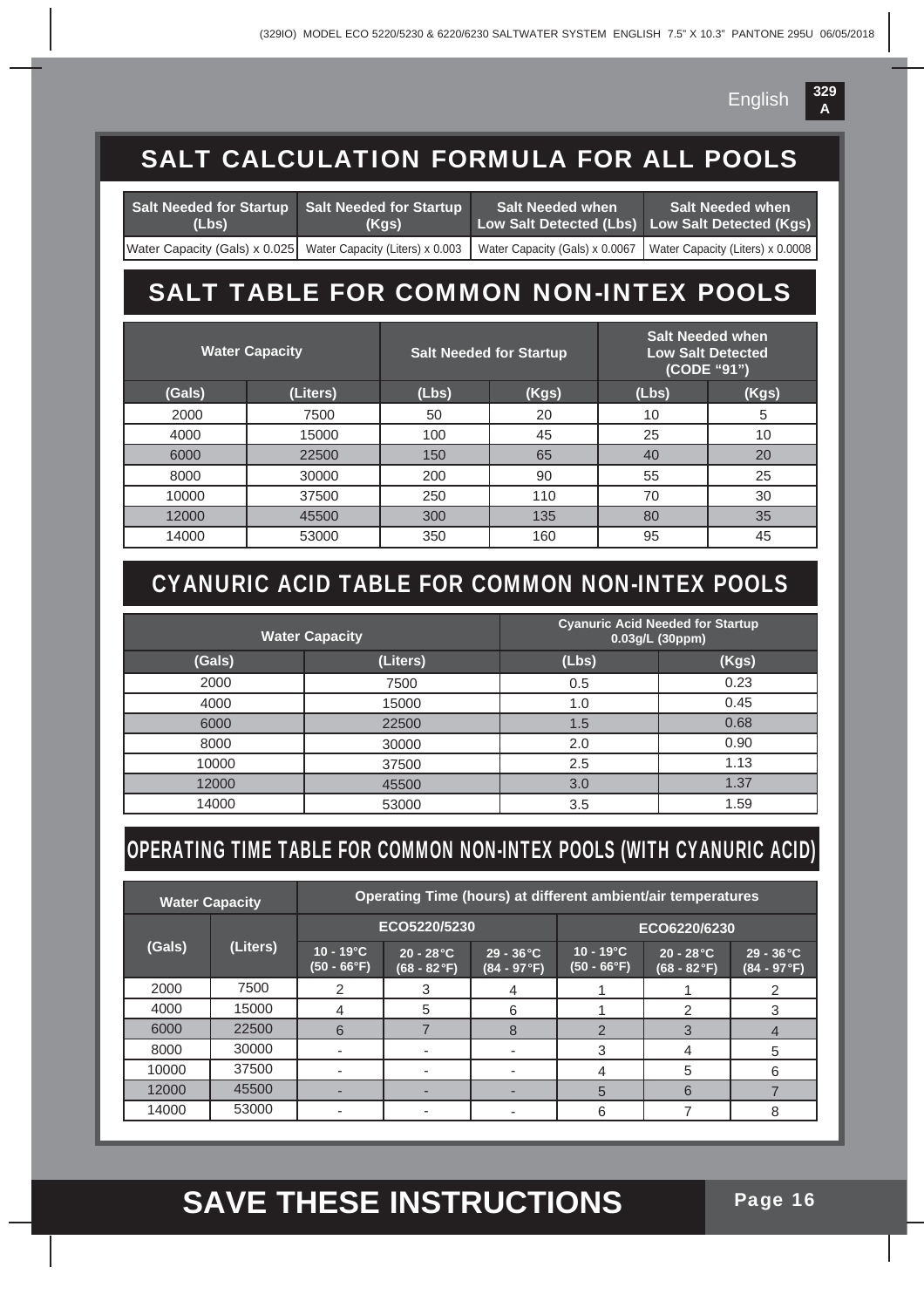## SALT CALCULATION FORMULA FOR ALL POOLS

| Salt Needed for Startup Salt Needed for Startup<br>(Lbs)<br>(Kas) |  | Salt Needed when<br>Low Salt Detected (Lbs) Low Salt Detected (Kgs) | <b>Salt Needed when</b>          |  |
|-------------------------------------------------------------------|--|---------------------------------------------------------------------|----------------------------------|--|
| Water Capacity (Gals) x 0.025   Water Capacity (Liters) x 0.003   |  | Water Capacity (Gals) x 0.0067                                      | Water Capacity (Liters) x 0.0008 |  |

### SALT TABLE FOR COMMON NON-INTEX POOLS

| <b>Water Capacity</b> |          |       | <b>Salt Needed for Startup</b> | <b>Salt Needed when</b><br><b>Low Salt Detected</b><br>(CODE "91") |       |  |
|-----------------------|----------|-------|--------------------------------|--------------------------------------------------------------------|-------|--|
| (Gals)                | (Liters) | (Lbs) | (Kgs)                          | (Lbs)                                                              | (Kgs) |  |
| 2000                  | 7500     | 50    | 20                             | 10                                                                 | 5     |  |
| 4000                  | 15000    | 100   | 45                             | 25                                                                 | 10    |  |
| 6000                  | 22500    | 150   | 65                             | 40                                                                 | 20    |  |
| 8000                  | 30000    | 200   | 90                             | 55                                                                 | 25    |  |
| 10000                 | 37500    | 250   | 110                            | 70                                                                 | 30    |  |
| 12000                 | 45500    | 300   | 135                            | 80                                                                 | 35    |  |
| 14000                 | 53000    | 350   | 160                            | 95                                                                 | 45    |  |

### CYANURIC ACID TABLE FOR COMMON NON-INTEX POOLS

|        | <b>Water Capacity</b> | <b>Cyanuric Acid Needed for Startup</b><br>$0.03$ g/L $(30$ ppm) |       |  |  |
|--------|-----------------------|------------------------------------------------------------------|-------|--|--|
| (Gals) | (Liters)              | (Lbs)                                                            | (Kgs) |  |  |
| 2000   | 7500                  | 0.5                                                              | 0.23  |  |  |
| 4000   | 15000                 | 1.0                                                              | 0.45  |  |  |
| 6000   | 22500                 | 1.5                                                              | 0.68  |  |  |
| 8000   | 30000                 | 2.0                                                              | 0.90  |  |  |
| 10000  | 37500                 | 2.5                                                              | 1.13  |  |  |
| 12000  | 45500                 | 3.0                                                              | 1.37  |  |  |
| 14000  | 53000                 | 3.5                                                              | 1.59  |  |  |

### OPERATING TIME TABLE FOR COMMON NON-INTEX POOLS (WITH CYANURIC ACID)

| <b>Water Capacity</b> |       | Operating Time (hours) at different ambient/air temperatures |                             |                                      |                                     |                             |                                      |  |
|-----------------------|-------|--------------------------------------------------------------|-----------------------------|--------------------------------------|-------------------------------------|-----------------------------|--------------------------------------|--|
|                       |       | ECO5220/5230                                                 |                             |                                      | ECO6220/6230                        |                             |                                      |  |
| (Gals)<br>(Liters)    |       | $10 - 19^{\circ}C$<br>$(50 - 66°F)$                          | $20 - 28$ °C<br>(68 - 82°F) | $29 - 36^{\circ}C$<br>$(84 - 97$ °F) | $10 - 19^{\circ}C$<br>$(50 - 66°F)$ | $20 - 28 °C$<br>(68 - 82°F) | $29 - 36^{\circ}C$<br>$(84 - 97 °F)$ |  |
| 2000                  | 7500  | 2                                                            | 3                           | 4                                    |                                     |                             | 2                                    |  |
| 4000                  | 15000 | 4                                                            | 5                           | 6                                    |                                     | 2                           | 3                                    |  |
| 6000                  | 22500 | 6                                                            | ⇁                           | 8                                    | റ                                   | 3                           | 4                                    |  |
| 8000                  | 30000 |                                                              |                             |                                      | 3                                   | 4                           | 5                                    |  |
| 10000                 | 37500 |                                                              |                             |                                      | 4                                   | 5                           | 6                                    |  |
| 12000                 | 45500 |                                                              |                             |                                      | 5                                   | 6                           |                                      |  |
| 14000                 | 53000 |                                                              |                             |                                      | 6                                   |                             | 8                                    |  |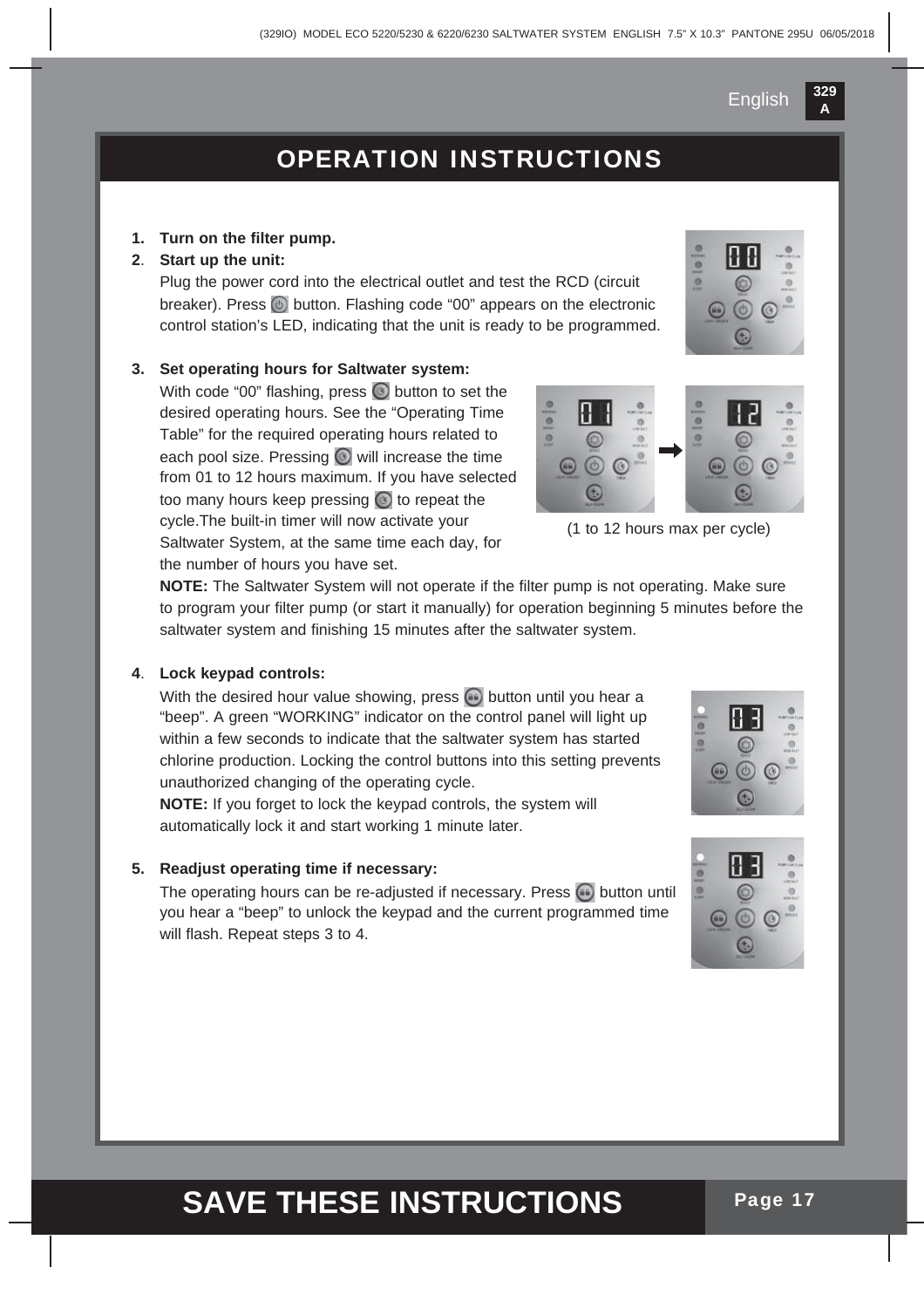### OPERATION INSTRUCTIONS

#### **1. Turn on the filter pump.**

#### **2**. **Start up the unit:**

 Plug the power cord into the electrical outlet and test the RCD (circuit breaker). Press  $\odot$  button. Flashing code "00" appears on the electronic control station's LED, indicating that the unit is ready to be programmed.

#### **3. Set operating hours for Saltwater system:**

With code "00" flashing, press  $\bullet$  button to set the desired operating hours. See the "Operating Time Table" for the required operating hours related to each pool size. Pressing  $\odot$  will increase the time from 01 to 12 hours maximum. If you have selected too many hours keep pressing  $\circledcirc$  to repeat the cycle.The built-in timer will now activate your Saltwater System, at the same time each day, for the number of hours you have set.



(1 to 12 hours max per cycle)

**NOTE:** The Saltwater System will not operate if the filter pump is not operating. Make sure to program your filter pump (or start it manually) for operation beginning 5 minutes before the saltwater system and finishing 15 minutes after the saltwater system.

#### **4**. **Lock keypad controls:**

With the desired hour value showing, press  $\bullet$  button until you hear a "beep". A green "WORKING" indicator on the control panel will light up within a few seconds to indicate that the saltwater system has started chlorine production. Locking the control buttons into this setting prevents unauthorized changing of the operating cycle.

**NOTE:** If you forget to lock the keypad controls, the system will automatically lock it and start working 1 minute later.

#### **5. Readjust operating time if necessary:**

The operating hours can be re-adjusted if necessary. Press **button until** you hear a "beep" to unlock the keypad and the current programmed time will flash. Repeat steps 3 to 4.



**329 A**

English

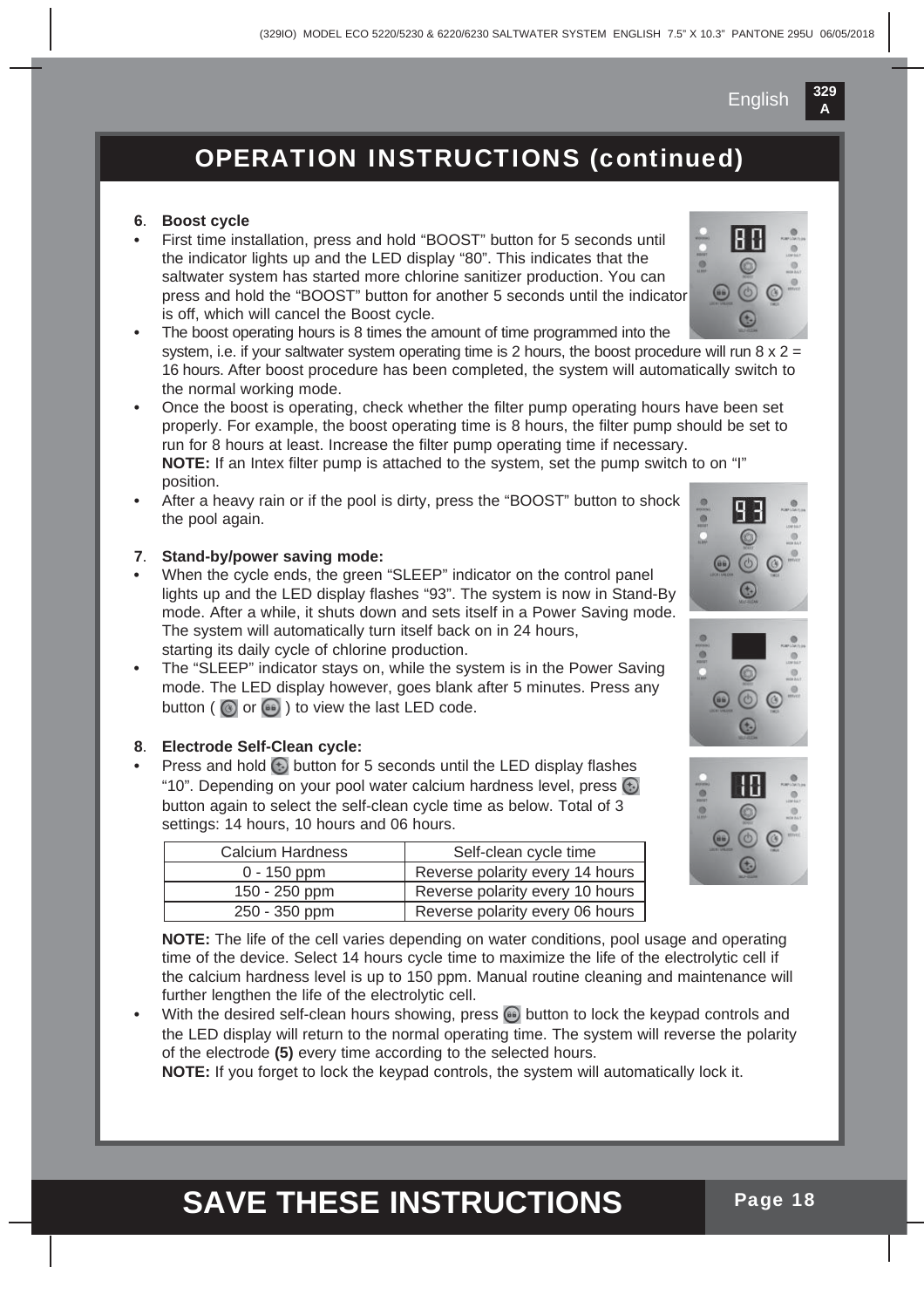### OPERATION INSTRUCTIONS (continued)

#### **6**. **Boost cycle**

- **•** First time installation, press and hold "BOOST" button for 5 seconds until the indicator lights up and the LED display "80". This indicates that the saltwater system has started more chlorine sanitizer production. You can press and hold the "BOOST" button for another 5 seconds until the indicator is off, which will cancel the Boost cycle.
- **•** The boost operating hours is 8 times the amount of time programmed into the system, i.e. if your saltwater system operating time is 2 hours, the boost procedure will run  $8 \times 2 =$ 16 hours. After boost procedure has been completed, the system will automatically switch to the normal working mode.

**•** Once the boost is operating, check whether the filter pump operating hours have been set properly. For example, the boost operating time is 8 hours, the filter pump should be set to run for 8 hours at least. Increase the filter pump operating time if necessary. **NOTE:** If an Intex filter pump is attached to the system, set the pump switch to on "I" position.

**•** After a heavy rain or if the pool is dirty, press the "BOOST" button to shock the pool again.

#### **7**. **Stand-by/power saving mode:**

- **•** When the cycle ends, the green "SLEEP" indicator on the control panel lights up and the LED display flashes "93". The system is now in Stand-By mode. After a while, it shuts down and sets itself in a Power Saving mode. The system will automatically turn itself back on in 24 hours, starting its daily cycle of chlorine production.
- **•** The "SLEEP" indicator stays on, while the system is in the Power Saving mode. The LED display however, goes blank after 5 minutes. Press any button ( $\bigcirc$  or  $\bigcirc$ ) to view the last LED code.

#### **8**. **Electrode Self-Clean cycle:**

**Press and hold <b>b** button for 5 seconds until the LED display flashes "10". Depending on your pool water calcium hardness level, press  $\bigodot$ button again to select the self-clean cycle time as below. Total of 3 settings: 14 hours, 10 hours and 06 hours.

| Calcium Hardness | Self-clean cycle time           |
|------------------|---------------------------------|
| $0 - 150$ ppm    | Reverse polarity every 14 hours |
| $150 - 250$ ppm  | Reverse polarity every 10 hours |
| 250 - 350 ppm    | Reverse polarity every 06 hours |



 **NOTE:** The life of the cell varies depending on water conditions, pool usage and operating time of the device. Select 14 hours cycle time to maximize the life of the electrolytic cell if the calcium hardness level is up to 150 ppm. Manual routine cleaning and maintenance will further lengthen the life of the electrolytic cell.

With the desired self-clean hours showing, press **b** button to lock the keypad controls and the LED display will return to the normal operating time. The system will reverse the polarity of the electrode **(5)** every time according to the selected hours.

**NOTE:** If you forget to lock the keypad controls, the system will automatically lock it.





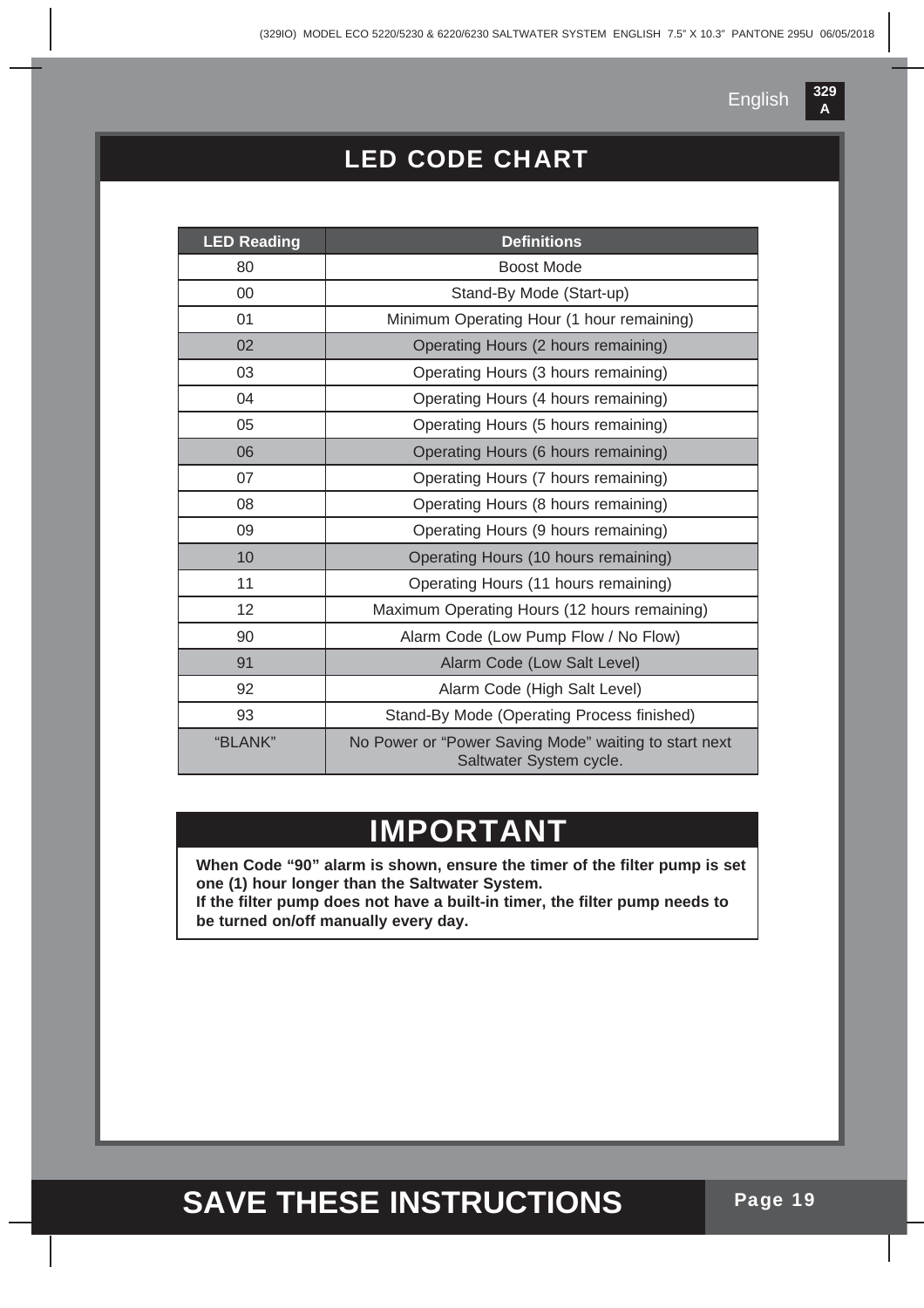**A**

### LED CODE CHART

| <b>LED Reading</b> | <b>Definitions</b>                                                               |
|--------------------|----------------------------------------------------------------------------------|
| 80                 | <b>Boost Mode</b>                                                                |
| 00                 | Stand-By Mode (Start-up)                                                         |
| 01                 | Minimum Operating Hour (1 hour remaining)                                        |
| 02                 | Operating Hours (2 hours remaining)                                              |
| 03                 | Operating Hours (3 hours remaining)                                              |
| 04                 | Operating Hours (4 hours remaining)                                              |
| 05                 | Operating Hours (5 hours remaining)                                              |
| 06                 | Operating Hours (6 hours remaining)                                              |
| 07                 | Operating Hours (7 hours remaining)                                              |
| 08                 | Operating Hours (8 hours remaining)                                              |
| 09                 | Operating Hours (9 hours remaining)                                              |
| 10                 | Operating Hours (10 hours remaining)                                             |
| 11                 | Operating Hours (11 hours remaining)                                             |
| 12                 | Maximum Operating Hours (12 hours remaining)                                     |
| 90                 | Alarm Code (Low Pump Flow / No Flow)                                             |
| 91                 | Alarm Code (Low Salt Level)                                                      |
| 92                 | Alarm Code (High Salt Level)                                                     |
| 93                 | Stand-By Mode (Operating Process finished)                                       |
| "BLANK"            | No Power or "Power Saving Mode" waiting to start next<br>Saltwater System cycle. |

### **IMPORTANT**

**When Code "90" alarm is shown, ensure the timer of the filter pump is set one (1) hour longer than the Saltwater System. If the filter pump does not have a built-in timer, the filter pump needs to be turned on/off manually every day.**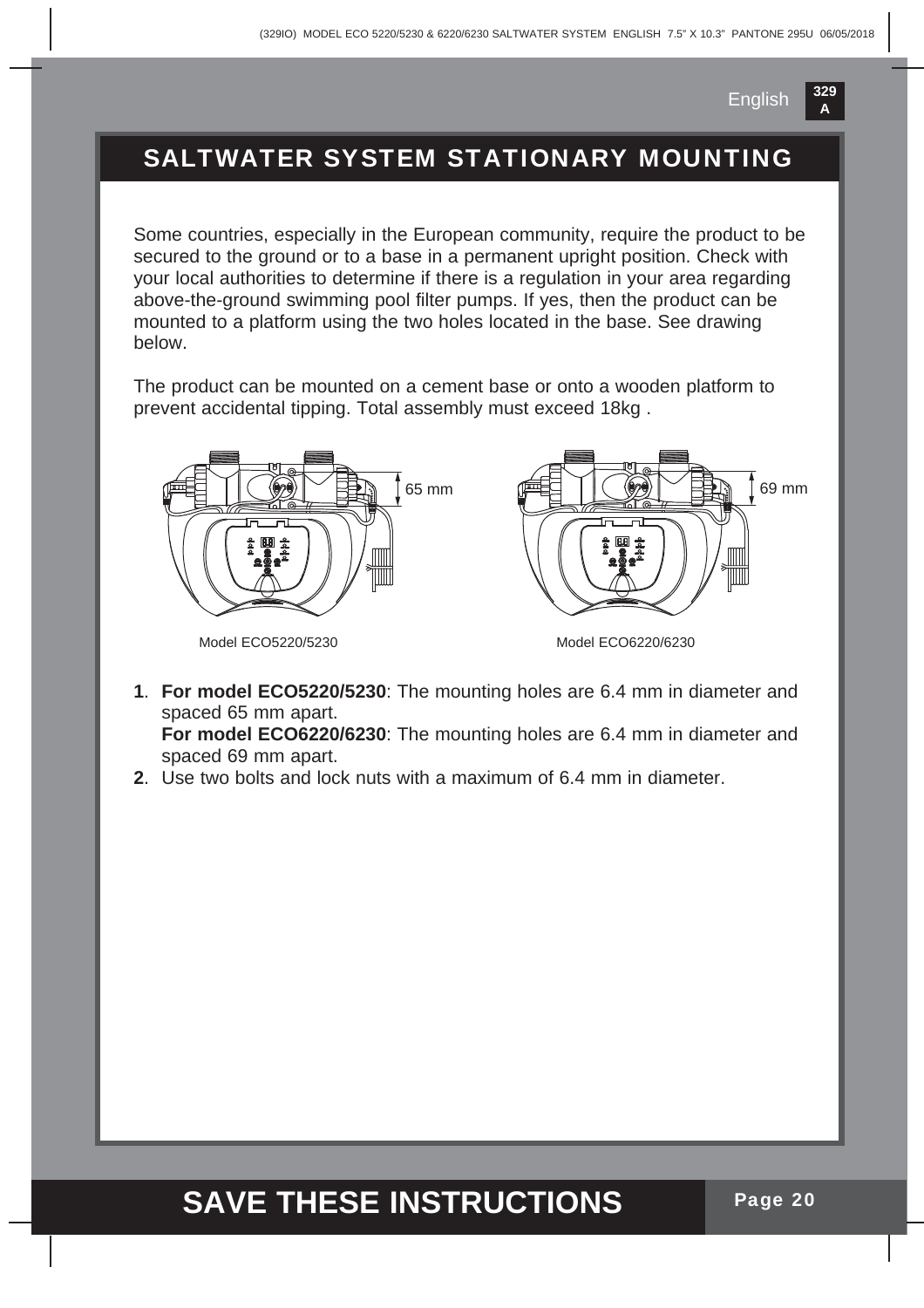69 mm

### SALTWATER SYSTEM STATIONARY MOUNTING

Some countries, especially in the European community, require the product to be secured to the ground or to a base in a permanent upright position. Check with your local authorities to determine if there is a regulation in your area regarding above-the-ground swimming pool filter pumps. If yes, then the product can be mounted to a platform using the two holes located in the base. See drawing below.

The product can be mounted on a cement base or onto a wooden platform to prevent accidental tipping. Total assembly must exceed 18kg .



Model ECO5220/5230

Model ECO6220/6230

**1**. **For model ECO5220/5230**: The mounting holes are 6.4 mm in diameter and spaced 65 mm apart. **For model ECO6220/6230**: The mounting holes are 6.4 mm in diameter and

spaced 69 mm apart.

**2**. Use two bolts and lock nuts with a maximum of 6.4 mm in diameter.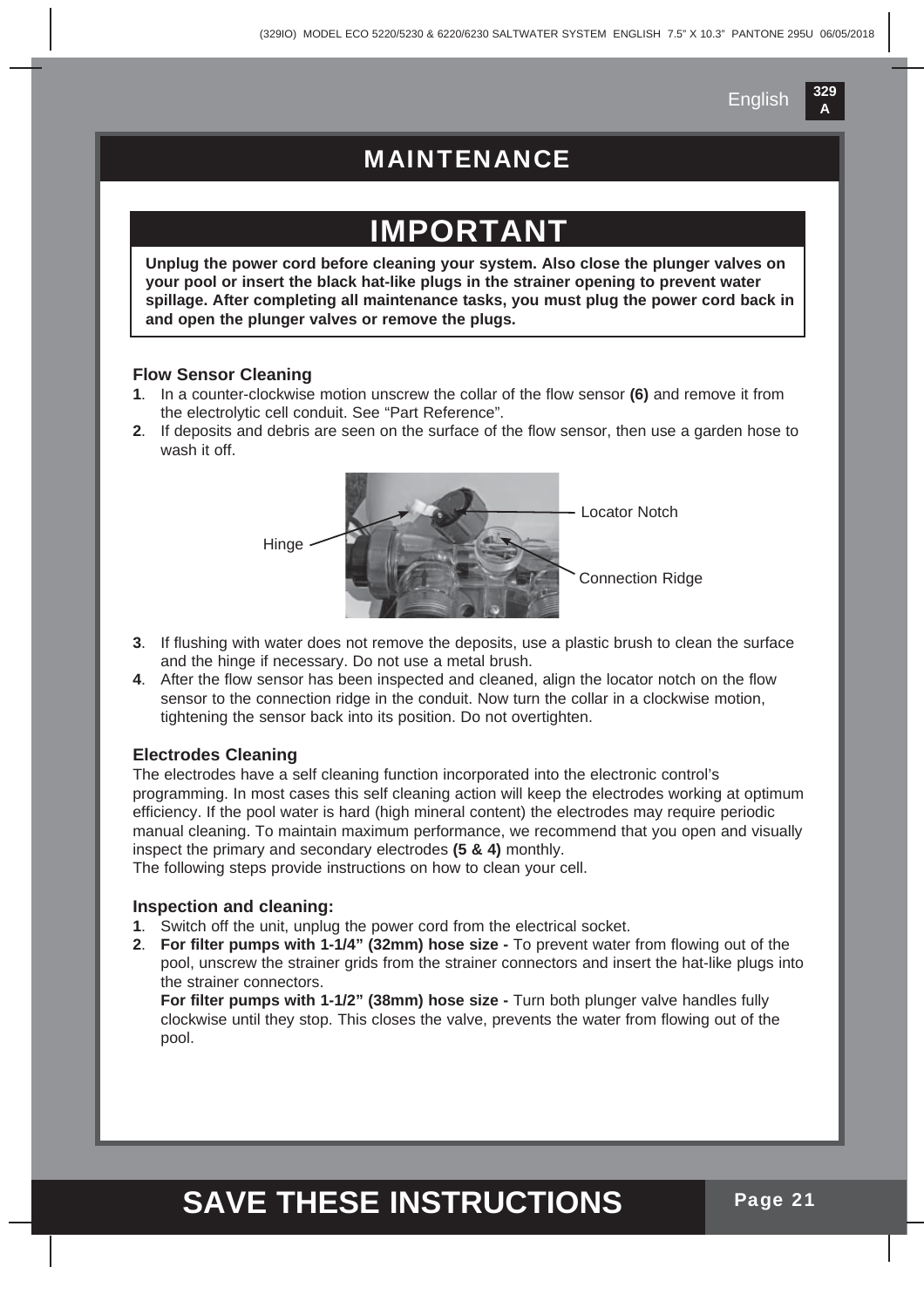### MAINTENANCE

## **DRTAN**

**Unplug the power cord before cleaning your system. Also close the plunger valves on your pool or insert the black hat-like plugs in the strainer opening to prevent water spillage. After completing all maintenance tasks, you must plug the power cord back in and open the plunger valves or remove the plugs.**

#### **Flow Sensor Cleaning**

- **1**. In a counter-clockwise motion unscrew the collar of the flow sensor **(6)** and remove it from the electrolytic cell conduit. See "Part Reference".
- **2**. If deposits and debris are seen on the surface of the flow sensor, then use a garden hose to wash it off.



- **3**. If flushing with water does not remove the deposits, use a plastic brush to clean the surface and the hinge if necessary. Do not use a metal brush.
- **4**. After the flow sensor has been inspected and cleaned, align the locator notch on the flow sensor to the connection ridge in the conduit. Now turn the collar in a clockwise motion, tightening the sensor back into its position. Do not overtighten.

#### **Electrodes Cleaning**

The electrodes have a self cleaning function incorporated into the electronic control's programming. In most cases this self cleaning action will keep the electrodes working at optimum efficiency. If the pool water is hard (high mineral content) the electrodes may require periodic manual cleaning. To maintain maximum performance, we recommend that you open and visually inspect the primary and secondary electrodes **(5 & 4)** monthly.

The following steps provide instructions on how to clean your cell.

#### **Inspection and cleaning:**

- **1**. Switch off the unit, unplug the power cord from the electrical socket.
- **2**. **For filter pumps with 1-1/4" (32mm) hose size -** To prevent water from flowing out of the pool, unscrew the strainer grids from the strainer connectors and insert the hat-like plugs into the strainer connectors.

**For filter pumps with 1-1/2" (38mm) hose size -** Turn both plunger valve handles fully clockwise until they stop. This closes the valve, prevents the water from flowing out of the pool.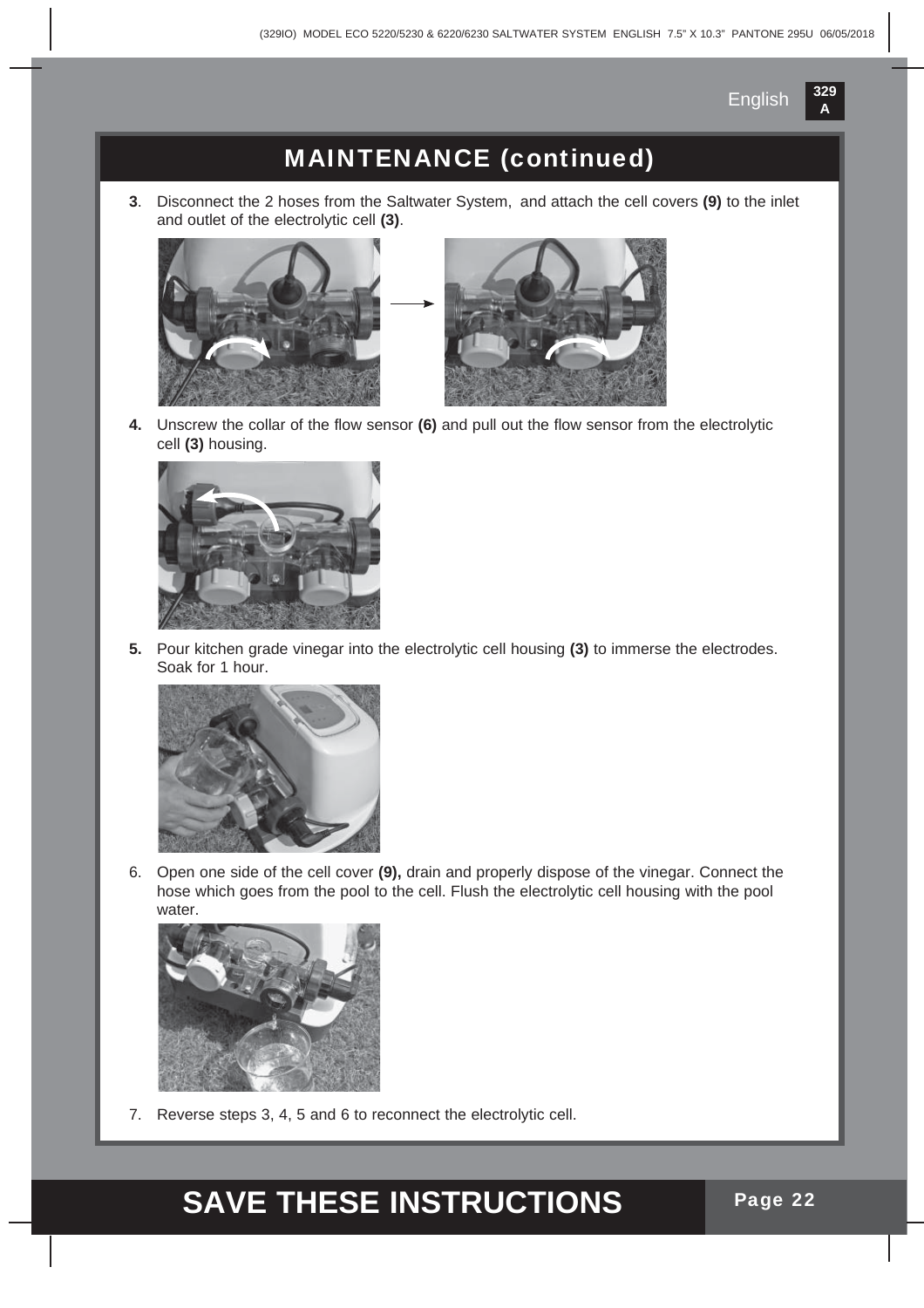

### MAINTENANCE (continued)

**3**. Disconnect the 2 hoses from the Saltwater System, and attach the cell covers **(9)** to the inlet and outlet of the electrolytic cell **(3)**.





**4.** Unscrew the collar of the flow sensor **(6)** and pull out the flow sensor from the electrolytic cell **(3)** housing.



**5.** Pour kitchen grade vinegar into the electrolytic cell housing **(3)** to immerse the electrodes. Soak for 1 hour.



6. Open one side of the cell cover **(9),** drain and properly dispose of the vinegar. Connect the hose which goes from the pool to the cell. Flush the electrolytic cell housing with the pool water.



7. Reverse steps 3, 4, 5 and 6 to reconnect the electrolytic cell.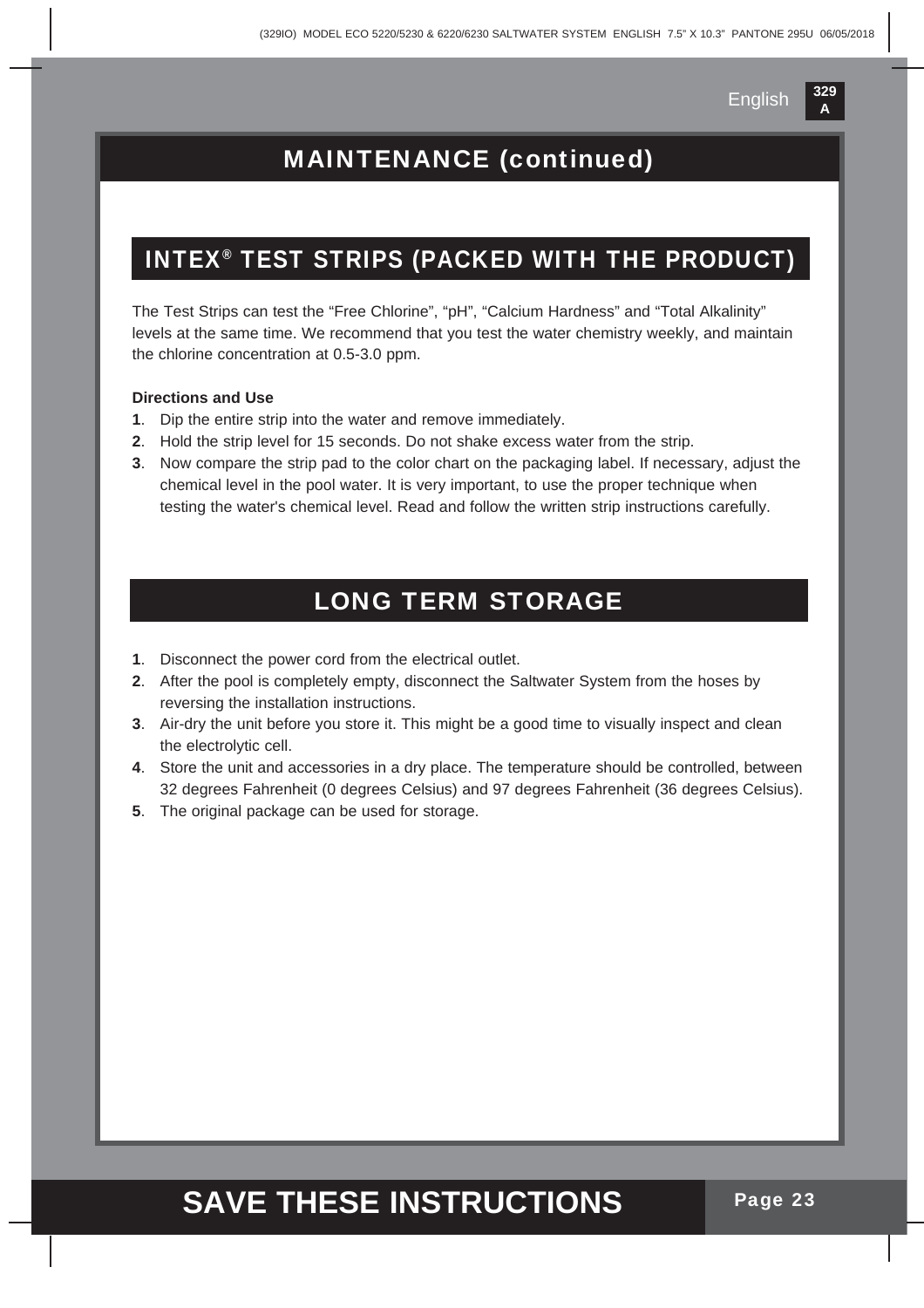### MAINTENANCE (continued)

#### INTEX® TEST STRIPS (PACKED WITH THE PRODUCT)

The Test Strips can test the "Free Chlorine", "pH", "Calcium Hardness" and "Total Alkalinity" levels at the same time. We recommend that you test the water chemistry weekly, and maintain the chlorine concentration at 0.5-3.0 ppm.

#### **Directions and Use**

- **1**. Dip the entire strip into the water and remove immediately.
- **2**. Hold the strip level for 15 seconds. Do not shake excess water from the strip.
- **3**. Now compare the strip pad to the color chart on the packaging label. If necessary, adjust the chemical level in the pool water. It is very important, to use the proper technique when testing the water's chemical level. Read and follow the written strip instructions carefully.

### LONG TERM STORAGE

- **1**. Disconnect the power cord from the electrical outlet.
- **2**. After the pool is completely empty, disconnect the Saltwater System from the hoses by reversing the installation instructions.
- **3**. Air-dry the unit before you store it. This might be a good time to visually inspect and clean the electrolytic cell.
- **4**. Store the unit and accessories in a dry place. The temperature should be controlled, between 32 degrees Fahrenheit (0 degrees Celsius) and 97 degrees Fahrenheit (36 degrees Celsius).
- **5**. The original package can be used for storage.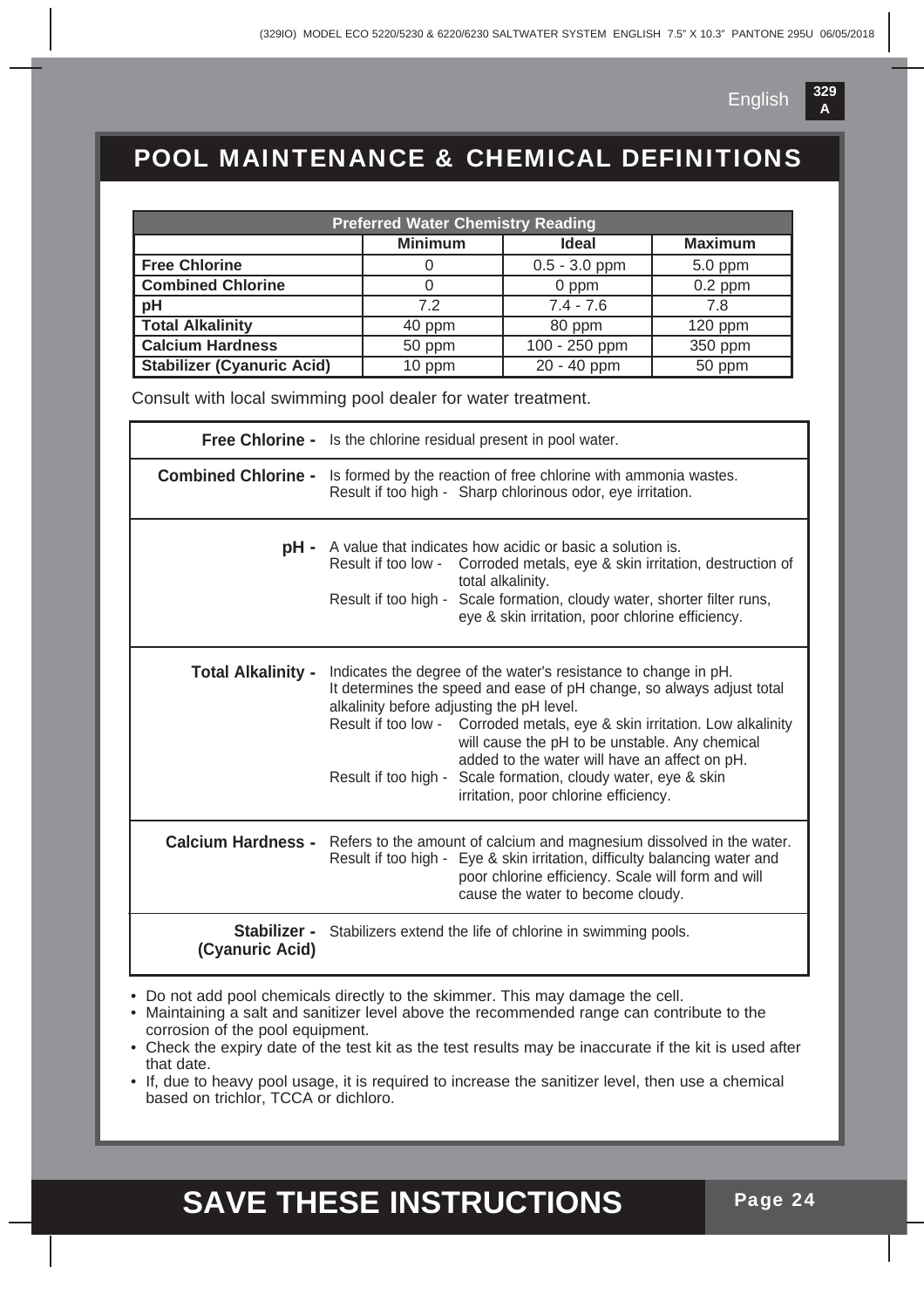

### POOL MAINTENANCE & CHEMICAL DEFINITIONS

| <b>Preferred Water Chemistry Reading</b>                        |                                                                                                                                                                                                                                                                                                                                                                                                                                                                                   |                 |                |  |
|-----------------------------------------------------------------|-----------------------------------------------------------------------------------------------------------------------------------------------------------------------------------------------------------------------------------------------------------------------------------------------------------------------------------------------------------------------------------------------------------------------------------------------------------------------------------|-----------------|----------------|--|
|                                                                 | <b>Minimum</b>                                                                                                                                                                                                                                                                                                                                                                                                                                                                    | <b>Ideal</b>    | <b>Maximum</b> |  |
| <b>Free Chlorine</b>                                            | 0                                                                                                                                                                                                                                                                                                                                                                                                                                                                                 | $0.5 - 3.0$ ppm | $5.0$ ppm      |  |
| <b>Combined Chlorine</b>                                        | $\overline{0}$                                                                                                                                                                                                                                                                                                                                                                                                                                                                    | 0 ppm           | $0.2$ ppm      |  |
| pH                                                              | 7.2                                                                                                                                                                                                                                                                                                                                                                                                                                                                               | $7.4 - 7.6$     | 7.8            |  |
| <b>Total Alkalinity</b>                                         | $40$ ppm                                                                                                                                                                                                                                                                                                                                                                                                                                                                          | 80 ppm          | $120$ ppm      |  |
| <b>Calcium Hardness</b>                                         | 50 ppm                                                                                                                                                                                                                                                                                                                                                                                                                                                                            | 100 - 250 ppm   | 350 ppm        |  |
| <b>Stabilizer (Cyanuric Acid)</b>                               | 10 ppm                                                                                                                                                                                                                                                                                                                                                                                                                                                                            | 20 - 40 ppm     | 50 ppm         |  |
| Consult with local swimming pool dealer for water treatment.    |                                                                                                                                                                                                                                                                                                                                                                                                                                                                                   |                 |                |  |
| Free Chlorine - Is the chlorine residual present in pool water. |                                                                                                                                                                                                                                                                                                                                                                                                                                                                                   |                 |                |  |
|                                                                 | <b>Combined Chlorine -</b> Is formed by the reaction of free chlorine with ammonia wastes.<br>Result if too high - Sharp chlorinous odor, eye irritation.                                                                                                                                                                                                                                                                                                                         |                 |                |  |
|                                                                 | <b>pH</b> - A value that indicates how acidic or basic a solution is.<br>Result if too low - Corroded metals, eye & skin irritation, destruction of<br>total alkalinity.<br>Result if too high - Scale formation, cloudy water, shorter filter runs,<br>eye & skin irritation, poor chlorine efficiency.                                                                                                                                                                          |                 |                |  |
| <b>Total Alkalinity -</b>                                       | Indicates the degree of the water's resistance to change in pH.<br>It determines the speed and ease of pH change, so always adjust total<br>alkalinity before adjusting the pH level.<br>Result if too low - Corroded metals, eye & skin irritation. Low alkalinity<br>will cause the pH to be unstable. Any chemical<br>added to the water will have an affect on pH.<br>Result if too high - Scale formation, cloudy water, eye & skin<br>irritation, poor chlorine efficiency. |                 |                |  |
|                                                                 | <b>Calcium Hardness -</b> Refers to the amount of calcium and magnesium dissolved in the water.<br>Result if too high - Eye & skin irritation, difficulty balancing water and<br>poor chlorine efficiency. Scale will form and will<br>cause the water to become cloudy.                                                                                                                                                                                                          |                 |                |  |
| (Cyanuric Acid)                                                 | Stabilizer - Stabilizers extend the life of chlorine in swimming pools.                                                                                                                                                                                                                                                                                                                                                                                                           |                 |                |  |

• Do not add pool chemicals directly to the skimmer. This may damage the cell.

- Maintaining a salt and sanitizer level above the recommended range can contribute to the corrosion of the pool equipment.
- Check the expiry date of the test kit as the test results may be inaccurate if the kit is used after that date.
- If, due to heavy pool usage, it is required to increase the sanitizer level, then use a chemical based on trichlor, TCCA or dichloro.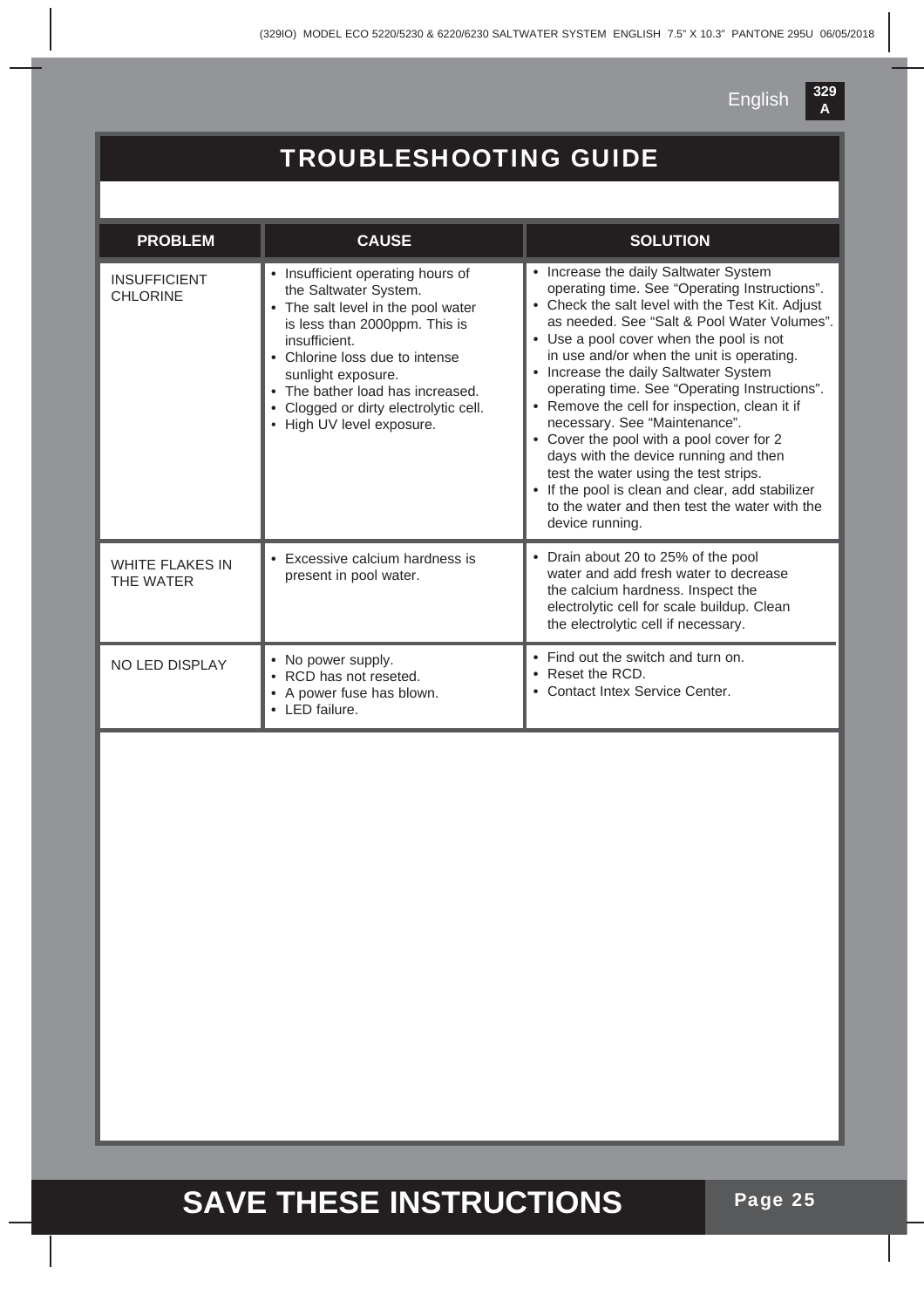## TROUBLESHOOTING GUIDE

| <b>PROBLEM</b>                         | <b>CAUSE</b>                                                                                                                                                                                                                                                                                                       | <b>SOLUTION</b>                                                                                                                                                                                                                                                                                                                                                                                                                                                                                                                                                                                                                                                                                                     |
|----------------------------------------|--------------------------------------------------------------------------------------------------------------------------------------------------------------------------------------------------------------------------------------------------------------------------------------------------------------------|---------------------------------------------------------------------------------------------------------------------------------------------------------------------------------------------------------------------------------------------------------------------------------------------------------------------------------------------------------------------------------------------------------------------------------------------------------------------------------------------------------------------------------------------------------------------------------------------------------------------------------------------------------------------------------------------------------------------|
| <b>INSUFFICIENT</b><br><b>CHLORINE</b> | • Insufficient operating hours of<br>the Saltwater System.<br>• The salt level in the pool water<br>is less than 2000ppm. This is<br>insufficient.<br>• Chlorine loss due to intense<br>sunlight exposure.<br>• The bather load has increased.<br>Clogged or dirty electrolytic cell.<br>• High UV level exposure. | • Increase the daily Saltwater System<br>operating time. See "Operating Instructions".<br>• Check the salt level with the Test Kit. Adjust<br>as needed. See "Salt & Pool Water Volumes".<br>• Use a pool cover when the pool is not<br>in use and/or when the unit is operating.<br>• Increase the daily Saltwater System<br>operating time. See "Operating Instructions".<br>• Remove the cell for inspection, clean it if<br>necessary. See "Maintenance".<br>• Cover the pool with a pool cover for 2<br>days with the device running and then<br>test the water using the test strips.<br>• If the pool is clean and clear, add stabilizer<br>to the water and then test the water with the<br>device running. |
| <b>WHITE FLAKES IN</b><br>THE WATER    | Excessive calcium hardness is<br>present in pool water.                                                                                                                                                                                                                                                            | • Drain about 20 to 25% of the pool<br>water and add fresh water to decrease<br>the calcium hardness. Inspect the<br>electrolytic cell for scale buildup. Clean<br>the electrolytic cell if necessary.                                                                                                                                                                                                                                                                                                                                                                                                                                                                                                              |
| <b>NO LED DISPLAY</b>                  | • No power supply.<br>• RCD has not reseted.<br>• A power fuse has blown.<br>• LED failure.                                                                                                                                                                                                                        | • Find out the switch and turn on.<br>• Reset the RCD.<br>• Contact Intex Service Center.                                                                                                                                                                                                                                                                                                                                                                                                                                                                                                                                                                                                                           |
|                                        |                                                                                                                                                                                                                                                                                                                    |                                                                                                                                                                                                                                                                                                                                                                                                                                                                                                                                                                                                                                                                                                                     |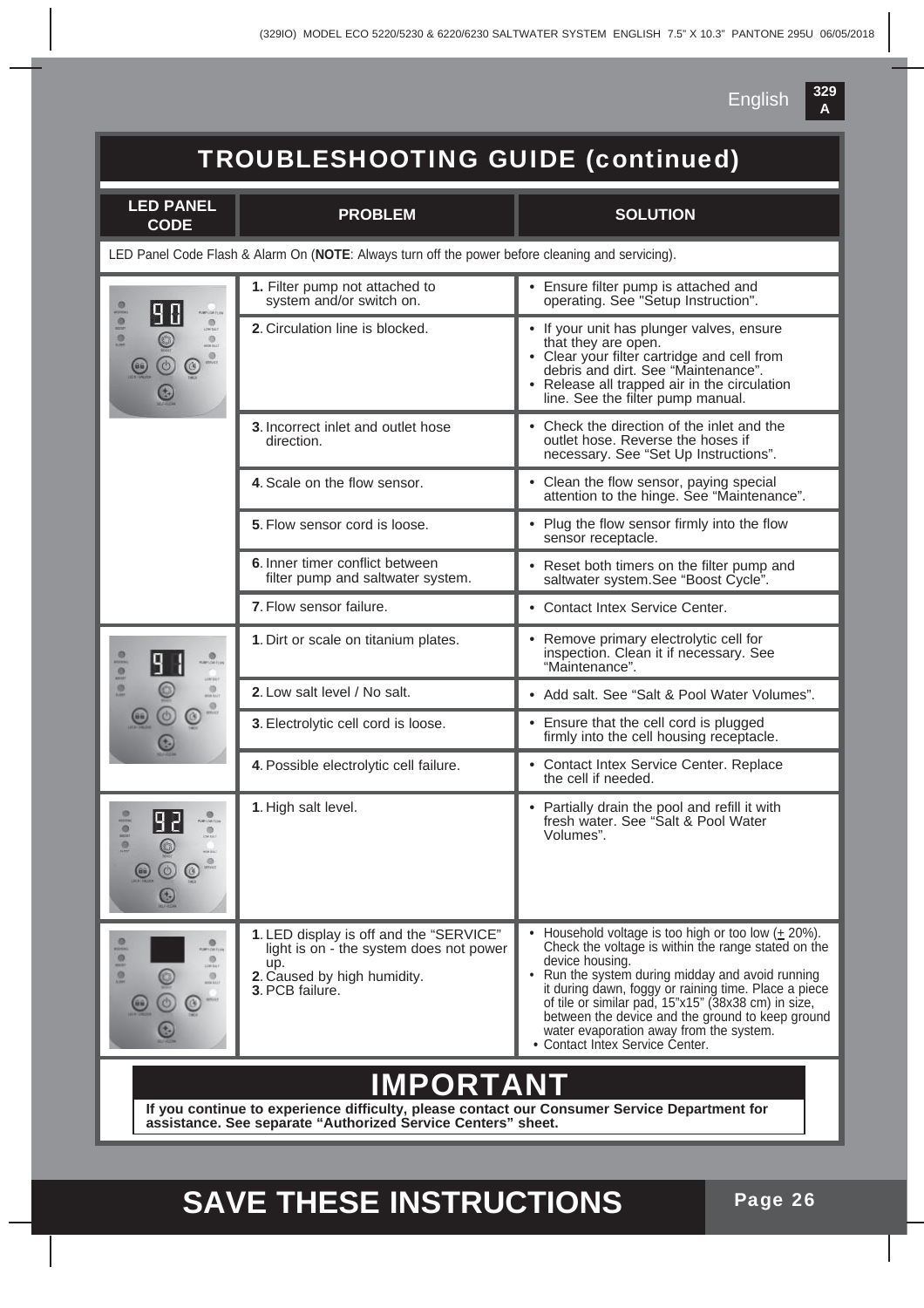

## TROUBLESHOOTING GUIDE (continued)

| <b>LED PANEL</b><br><b>CODE</b>                                                                  | <b>PROBLEM</b>                                                                                                                              | <b>SOLUTION</b>                                                                                                                                                                                                                                                                                                                                                                                                                      |  |  |
|--------------------------------------------------------------------------------------------------|---------------------------------------------------------------------------------------------------------------------------------------------|--------------------------------------------------------------------------------------------------------------------------------------------------------------------------------------------------------------------------------------------------------------------------------------------------------------------------------------------------------------------------------------------------------------------------------------|--|--|
| LED Panel Code Flash & Alarm On (NOTE: Always turn off the power before cleaning and servicing). |                                                                                                                                             |                                                                                                                                                                                                                                                                                                                                                                                                                                      |  |  |
| 0000<br>$\frac{\Theta}{\pi}$<br>$\circ$                                                          | 1. Filter pump not attached to<br>system and/or switch on.                                                                                  | • Ensure filter pump is attached and<br>operating. See "Setup Instruction".                                                                                                                                                                                                                                                                                                                                                          |  |  |
|                                                                                                  | 2. Circulation line is blocked.                                                                                                             | • If your unit has plunger valves, ensure<br>that they are open.<br>• Clear your filter cartridge and cell from<br>debris and dirt. See "Maintenance".<br>• Release all trapped air in the circulation<br>line. See the filter pump manual.                                                                                                                                                                                          |  |  |
|                                                                                                  | 3. Incorrect inlet and outlet hose<br>direction.                                                                                            | • Check the direction of the inlet and the<br>outlet hose. Reverse the hoses if<br>necessary. See "Set Up Instructions".                                                                                                                                                                                                                                                                                                             |  |  |
|                                                                                                  | 4. Scale on the flow sensor.                                                                                                                | • Clean the flow sensor, paying special<br>attention to the hinge. See "Maintenance".                                                                                                                                                                                                                                                                                                                                                |  |  |
|                                                                                                  | 5. Flow sensor cord is loose.                                                                                                               | • Plug the flow sensor firmly into the flow<br>sensor receptacle.                                                                                                                                                                                                                                                                                                                                                                    |  |  |
|                                                                                                  | 6. Inner timer conflict between<br>filter pump and saltwater system.                                                                        | • Reset both timers on the filter pump and<br>saltwater system.See "Boost Cycle".                                                                                                                                                                                                                                                                                                                                                    |  |  |
|                                                                                                  | 7. Flow sensor failure.                                                                                                                     | • Contact Intex Service Center.                                                                                                                                                                                                                                                                                                                                                                                                      |  |  |
| 0101<br><br>e<br>$\frac{1}{2}$<br>٤                                                              | 1. Dirt or scale on titanium plates.                                                                                                        | • Remove primary electrolytic cell for<br>inspection. Clean it if necessary. See<br>"Maintenance".                                                                                                                                                                                                                                                                                                                                   |  |  |
|                                                                                                  | 2. Low salt level / No salt.                                                                                                                | • Add salt. See "Salt & Pool Water Volumes".                                                                                                                                                                                                                                                                                                                                                                                         |  |  |
|                                                                                                  | 3. Electrolytic cell cord is loose.                                                                                                         | • Ensure that the cell cord is plugged<br>firmly into the cell housing receptacle.                                                                                                                                                                                                                                                                                                                                                   |  |  |
|                                                                                                  | 4. Possible electrolytic cell failure.                                                                                                      | • Contact Intex Service Center. Replace<br>the cell if needed.                                                                                                                                                                                                                                                                                                                                                                       |  |  |
| 000<br>$\circ$                                                                                   | 1. High salt level.                                                                                                                         | • Partially drain the pool and refill it with<br>fresh water. See "Salt & Pool Water<br>Volumes".                                                                                                                                                                                                                                                                                                                                    |  |  |
| $\circ$<br><b>Michina</b><br>ø<br>1297.941<br>$\circ$                                            | 1. LED display is off and the "SERVICE"<br>light is on - the system does not power<br>up.<br>2. Caused by high humidity.<br>3. PCB failure. | Household voltage is too high or too low $(± 20\%)$ .<br>Check the voltage is within the range stated on the<br>device housing.<br>• Run the system during midday and avoid running<br>it during dawn, foggy or raining time. Place a piece<br>of tile or similar pad, 15"x15" (38x38 cm) in size,<br>between the device and the ground to keep ground<br>water evaporation away from the system.<br>• Contact Intex Service Center. |  |  |
| <b>IMPORTANT</b>                                                                                 |                                                                                                                                             |                                                                                                                                                                                                                                                                                                                                                                                                                                      |  |  |
| If you continue to experience difficulty, please contact our Consumer Service Department for     |                                                                                                                                             |                                                                                                                                                                                                                                                                                                                                                                                                                                      |  |  |

**assistance. See separate "Authorized Service Centers" sheet.**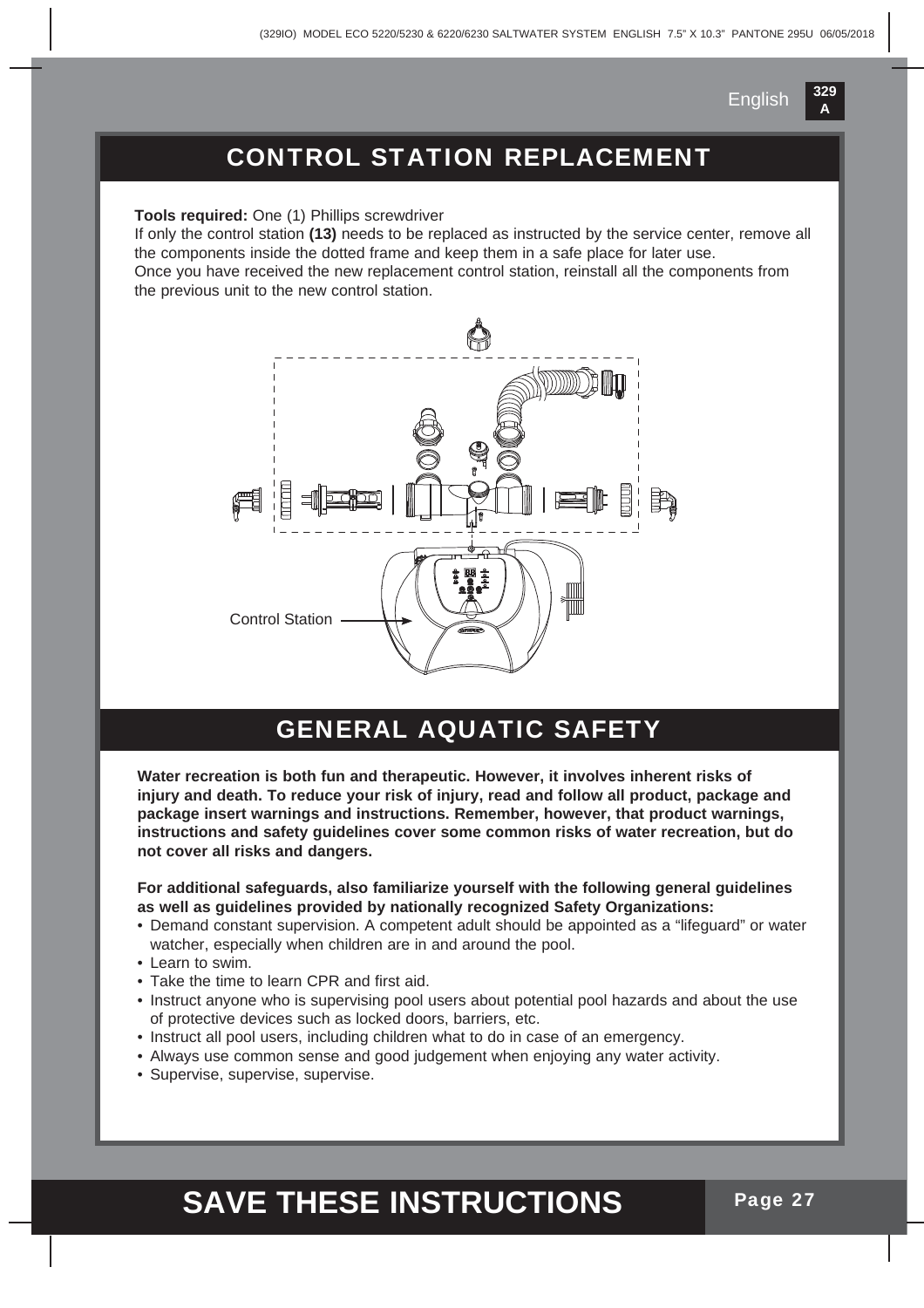

### CONTROL STATION REPLACEMENT

**Tools required:** One (1) Phillips screwdriver

If only the control station **(13)** needs to be replaced as instructed by the service center, remove all the components inside the dotted frame and keep them in a safe place for later use. Once you have received the new replacement control station, reinstall all the components from the previous unit to the new control station.



### GENERAL AQUATIC SAFETY

**Water recreation is both fun and therapeutic. However, it involves inherent risks of injury and death. To reduce your risk of injury, read and follow all product, package and package insert warnings and instructions. Remember, however, that product warnings, instructions and safety guidelines cover some common risks of water recreation, but do not cover all risks and dangers.**

**For additional safeguards, also familiarize yourself with the following general guidelines as well as guidelines provided by nationally recognized Safety Organizations:**

- Demand constant supervision. A competent adult should be appointed as a "lifeguard" or water watcher, especially when children are in and around the pool.
- Learn to swim.
- Take the time to learn CPR and first aid.
- Instruct anyone who is supervising pool users about potential pool hazards and about the use of protective devices such as locked doors, barriers, etc.
- Instruct all pool users, including children what to do in case of an emergency.
- Always use common sense and good judgement when enjoying any water activity.
- Supervise, supervise, supervise.